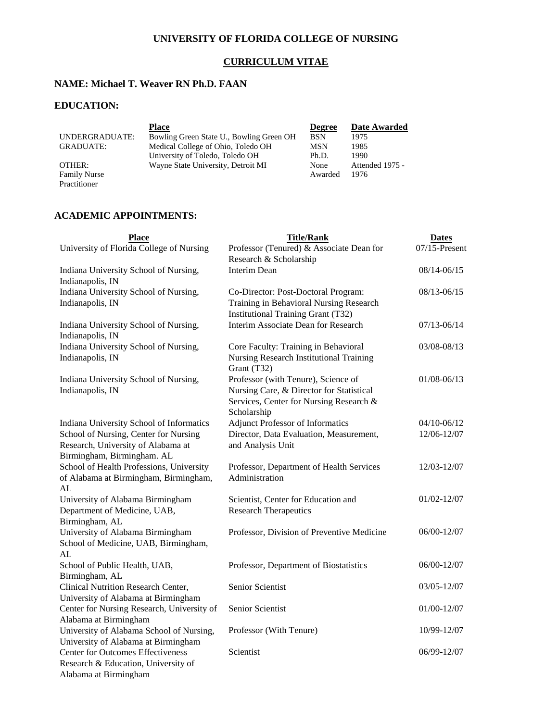# **UNIVERSITY OF FLORIDA COLLEGE OF NURSING**

# **CURRICULUM VITAE**

## **NAME: Michael T. Weaver RN Ph.D. FAAN**

# **EDUCATION:**

|                     | <b>Place</b>                             | <b>Degree</b> | Date Awarded    |
|---------------------|------------------------------------------|---------------|-----------------|
| UNDERGRADUATE:      | Bowling Green State U., Bowling Green OH | <b>BSN</b>    | 1975            |
| <b>GRADUATE:</b>    | Medical College of Ohio, Toledo OH       | MSN           | 1985            |
|                     | University of Toledo, Toledo OH          | Ph.D.         | 1990            |
| OTHER:              | Wayne State University, Detroit MI       | None          | Attended 1975 - |
| <b>Family Nurse</b> |                                          | Awarded       | 1976            |
| Practitioner        |                                          |               |                 |

# **ACADEMIC APPOINTMENTS:**

| <b>Place</b>                                                                                                                                    | <b>Title/Rank</b>                                                                                                                         | <b>Dates</b>     |
|-------------------------------------------------------------------------------------------------------------------------------------------------|-------------------------------------------------------------------------------------------------------------------------------------------|------------------|
| University of Florida College of Nursing                                                                                                        | Professor (Tenured) & Associate Dean for                                                                                                  | $07/15$ -Present |
|                                                                                                                                                 | Research & Scholarship                                                                                                                    |                  |
| Indiana University School of Nursing,<br>Indianapolis, IN                                                                                       | Interim Dean                                                                                                                              | 08/14-06/15      |
| Indiana University School of Nursing,                                                                                                           | Co-Director: Post-Doctoral Program:                                                                                                       | 08/13-06/15      |
| Indianapolis, IN                                                                                                                                | Training in Behavioral Nursing Research<br>Institutional Training Grant (T32)                                                             |                  |
| Indiana University School of Nursing,<br>Indianapolis, IN                                                                                       | Interim Associate Dean for Research                                                                                                       | 07/13-06/14      |
| Indiana University School of Nursing,<br>Indianapolis, IN                                                                                       | Core Faculty: Training in Behavioral<br>Nursing Research Institutional Training<br>Grant (T32)                                            | 03/08-08/13      |
| Indiana University School of Nursing,<br>Indianapolis, IN                                                                                       | Professor (with Tenure), Science of<br>Nursing Care, & Director for Statistical<br>Services, Center for Nursing Research &<br>Scholarship | $01/08 - 06/13$  |
| Indiana University School of Informatics                                                                                                        | <b>Adjunct Professor of Informatics</b>                                                                                                   | 04/10-06/12      |
| School of Nursing, Center for Nursing                                                                                                           | Director, Data Evaluation, Measurement,                                                                                                   | 12/06-12/07      |
| Research, University of Alabama at<br>Birmingham, Birmingham. AL                                                                                | and Analysis Unit                                                                                                                         |                  |
| School of Health Professions, University<br>of Alabama at Birmingham, Birmingham,<br>AL                                                         | Professor, Department of Health Services<br>Administration                                                                                | 12/03-12/07      |
| University of Alabama Birmingham                                                                                                                | Scientist, Center for Education and                                                                                                       | 01/02-12/07      |
| Department of Medicine, UAB,<br>Birmingham, AL                                                                                                  | <b>Research Therapeutics</b>                                                                                                              |                  |
| University of Alabama Birmingham<br>School of Medicine, UAB, Birmingham,<br>AL                                                                  | Professor, Division of Preventive Medicine                                                                                                | 06/00-12/07      |
| School of Public Health, UAB,<br>Birmingham, AL                                                                                                 | Professor, Department of Biostatistics                                                                                                    | 06/00-12/07      |
| Clinical Nutrition Research Center,                                                                                                             | <b>Senior Scientist</b>                                                                                                                   | 03/05-12/07      |
| University of Alabama at Birmingham<br>Center for Nursing Research, University of<br>Alabama at Birmingham                                      | Senior Scientist                                                                                                                          | 01/00-12/07      |
| University of Alabama School of Nursing,                                                                                                        | Professor (With Tenure)                                                                                                                   | 10/99-12/07      |
| University of Alabama at Birmingham<br><b>Center for Outcomes Effectiveness</b><br>Research & Education, University of<br>Alabama at Birmingham | Scientist                                                                                                                                 | 06/99-12/07      |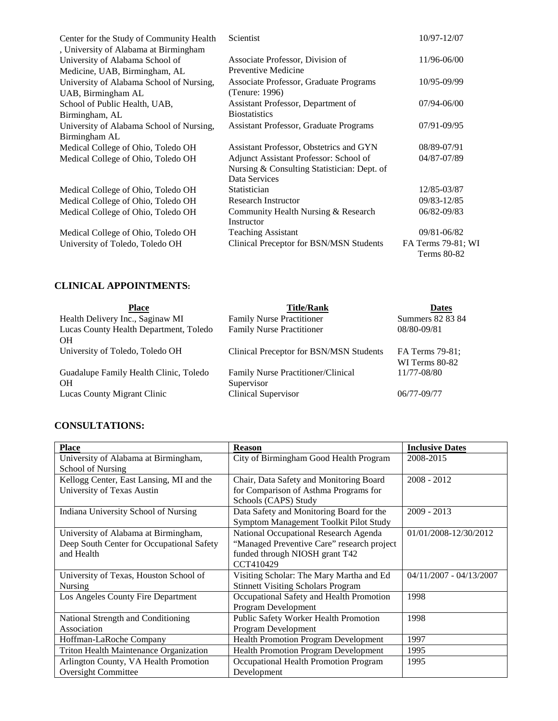| Center for the Study of Community Health<br>, University of Alabama at Birmingham | <b>Scientist</b>                              | 10/97-12/07        |
|-----------------------------------------------------------------------------------|-----------------------------------------------|--------------------|
| University of Alabama School of                                                   | Associate Professor, Division of              | 11/96-06/00        |
| Medicine, UAB, Birmingham, AL                                                     | Preventive Medicine                           |                    |
| University of Alabama School of Nursing,                                          | Associate Professor, Graduate Programs        | 10/95-09/99        |
| UAB, Birmingham AL                                                                | (Tenure: 1996)                                |                    |
| School of Public Health, UAB,                                                     | Assistant Professor, Department of            | $07/94 - 06/00$    |
| Birmingham, AL                                                                    | <b>Biostatistics</b>                          |                    |
| University of Alabama School of Nursing,                                          | <b>Assistant Professor, Graduate Programs</b> | 07/91-09/95        |
| Birmingham AL                                                                     |                                               |                    |
| Medical College of Ohio, Toledo OH                                                | Assistant Professor, Obstetrics and GYN       | 08/89-07/91        |
| Medical College of Ohio, Toledo OH                                                | Adjunct Assistant Professor: School of        | 04/87-07/89        |
|                                                                                   | Nursing & Consulting Statistician: Dept. of   |                    |
|                                                                                   | Data Services                                 |                    |
| Medical College of Ohio, Toledo OH                                                | Statistician                                  | 12/85-03/87        |
| Medical College of Ohio, Toledo OH                                                | <b>Research Instructor</b>                    | 09/83-12/85        |
| Medical College of Ohio, Toledo OH                                                | Community Health Nursing & Research           | 06/82-09/83        |
|                                                                                   | Instructor                                    |                    |
| Medical College of Ohio, Toledo OH                                                | <b>Teaching Assistant</b>                     | 09/81-06/82        |
| University of Toledo, Toledo OH                                                   | Clinical Preceptor for BSN/MSN Students       | FA Terms 79-81; WI |
|                                                                                   |                                               | <b>Terms 80-82</b> |

# **CLINICAL APPOINTMENTS:**

| <b>Place</b>                           | <b>Title/Rank</b>                       | <b>Dates</b>     |
|----------------------------------------|-----------------------------------------|------------------|
| Health Delivery Inc., Saginaw MI       | <b>Family Nurse Practitioner</b>        | Summers 82 83 84 |
| Lucas County Health Department, Toledo | Family Nurse Practitioner               | 08/80-09/81      |
| <b>OH</b>                              |                                         |                  |
| University of Toledo, Toledo OH        | Clinical Preceptor for BSN/MSN Students | FA Terms 79-81;  |
|                                        |                                         | WI Terms 80-82   |
| Guadalupe Family Health Clinic, Toledo | Family Nurse Practitioner/Clinical      | 11/77-08/80      |
| <b>OH</b>                              | Supervisor                              |                  |
| Lucas County Migrant Clinic            | <b>Clinical Supervisor</b>              | $06/77 - 09/77$  |

# **CONSULTATIONS:**

| <b>Place</b>                              | <b>Reason</b>                               | <b>Inclusive Dates</b>    |
|-------------------------------------------|---------------------------------------------|---------------------------|
| University of Alabama at Birmingham,      | City of Birmingham Good Health Program      | 2008-2015                 |
| School of Nursing                         |                                             |                           |
| Kellogg Center, East Lansing, MI and the  | Chair, Data Safety and Monitoring Board     | $2008 - 2012$             |
| University of Texas Austin                | for Comparison of Asthma Programs for       |                           |
|                                           | Schools (CAPS) Study                        |                           |
| Indiana University School of Nursing      | Data Safety and Monitoring Board for the    | $2009 - 2013$             |
|                                           | Symptom Management Toolkit Pilot Study      |                           |
| University of Alabama at Birmingham,      | National Occupational Research Agenda       | 01/01/2008-12/30/2012     |
| Deep South Center for Occupational Safety | "Managed Preventive Care" research project  |                           |
| and Health                                | funded through NIOSH grant T42              |                           |
|                                           | CCT410429                                   |                           |
| University of Texas, Houston School of    | Visiting Scholar: The Mary Martha and Ed    | $04/11/2007 - 04/13/2007$ |
| <b>Nursing</b>                            | <b>Stinnett Visiting Scholars Program</b>   |                           |
| Los Angeles County Fire Department        | Occupational Safety and Health Promotion    | 1998                      |
|                                           | Program Development                         |                           |
| National Strength and Conditioning        | Public Safety Worker Health Promotion       | 1998                      |
| Association                               | Program Development                         |                           |
| Hoffman-LaRoche Company                   | <b>Health Promotion Program Development</b> | 1997                      |
| Triton Health Maintenance Organization    | <b>Health Promotion Program Development</b> | 1995                      |
| Arlington County, VA Health Promotion     | Occupational Health Promotion Program       | 1995                      |
| <b>Oversight Committee</b>                | Development                                 |                           |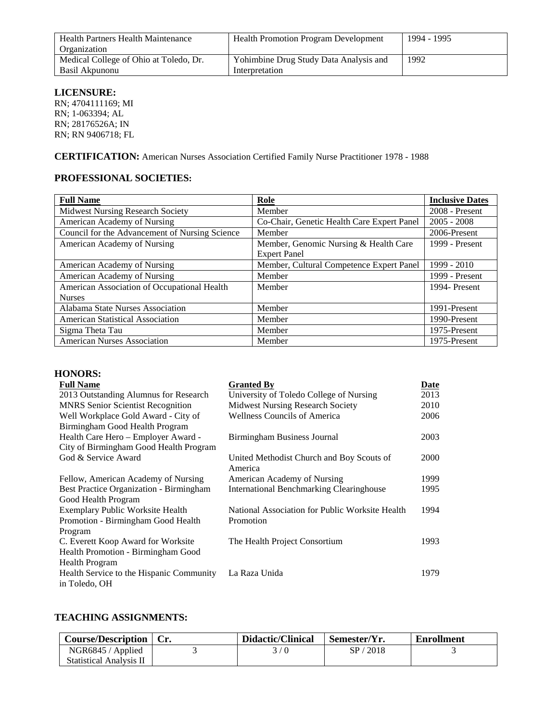| Health Partners Health Maintenance     | <b>Health Promotion Program Development</b> | 1994 - 1995 |
|----------------------------------------|---------------------------------------------|-------------|
| Organization                           |                                             |             |
| Medical College of Ohio at Toledo, Dr. | Yohimbine Drug Study Data Analysis and      | 1992        |
| Basil Akpunonu                         | Interpretation                              |             |

# **LICENSURE:**

RN; 4704111169; MI RN; 1-063394; AL RN; 28176526A; IN RN; RN 9406718; FL

**CERTIFICATION:** American Nurses Association Certified Family Nurse Practitioner 1978 - 1988

# **PROFESSIONAL SOCIETIES:**

| <b>Full Name</b>                                             | Role                                                         | <b>Inclusive Dates</b> |
|--------------------------------------------------------------|--------------------------------------------------------------|------------------------|
| <b>Midwest Nursing Research Society</b>                      | Member                                                       | $2008 -$ Present       |
| American Academy of Nursing                                  | Co-Chair, Genetic Health Care Expert Panel                   | $2005 - 2008$          |
| Council for the Advancement of Nursing Science               | Member                                                       | 2006-Present           |
| American Academy of Nursing                                  | Member, Genomic Nursing & Health Care<br><b>Expert Panel</b> | 1999 - Present         |
| American Academy of Nursing                                  | Member, Cultural Competence Expert Panel                     | 1999 - 2010            |
| American Academy of Nursing                                  | Member                                                       | 1999 - Present         |
| American Association of Occupational Health<br><b>Nurses</b> | Member                                                       | 1994-Present           |
| Alabama State Nurses Association                             | Member                                                       | 1991-Present           |
| <b>American Statistical Association</b>                      | Member                                                       | 1990-Present           |
| Sigma Theta Tau                                              | Member                                                       | 1975-Present           |
| <b>American Nurses Association</b>                           | Member                                                       | 1975-Present           |

## **HONORS:**

| <b>Full Name</b>                         | <b>Granted By</b>                               | Date |
|------------------------------------------|-------------------------------------------------|------|
| 2013 Outstanding Alumnus for Research    | University of Toledo College of Nursing         | 2013 |
| <b>MNRS</b> Senior Scientist Recognition | Midwest Nursing Research Society                | 2010 |
| Well Workplace Gold Award - City of      | <b>Wellness Councils of America</b>             | 2006 |
| Birmingham Good Health Program           |                                                 |      |
| Health Care Hero - Employer Award -      | Birmingham Business Journal                     | 2003 |
| City of Birmingham Good Health Program   |                                                 |      |
| God & Service Award                      | United Methodist Church and Boy Scouts of       | 2000 |
|                                          | America                                         |      |
| Fellow, American Academy of Nursing      | American Academy of Nursing                     | 1999 |
| Best Practice Organization - Birmingham  | <b>International Benchmarking Clearinghouse</b> | 1995 |
| Good Health Program                      |                                                 |      |
| Exemplary Public Worksite Health         | National Association for Public Worksite Health | 1994 |
| Promotion - Birmingham Good Health       | Promotion                                       |      |
| Program                                  |                                                 |      |
| C. Everett Koop Award for Worksite       | The Health Project Consortium                   | 1993 |
| Health Promotion - Birmingham Good       |                                                 |      |
| Health Program                           |                                                 |      |
| Health Service to the Hispanic Community | La Raza Unida                                   | 1979 |
| in Toledo, OH                            |                                                 |      |

# **TEACHING ASSIGNMENTS:**

| Course/Description   Cr.       | Didactic/Clinical | Semester/Yr. | Enrollment |
|--------------------------------|-------------------|--------------|------------|
| NGR6845 / Applied              | 3/0               | SP/2018      |            |
| <b>Statistical Analysis II</b> |                   |              |            |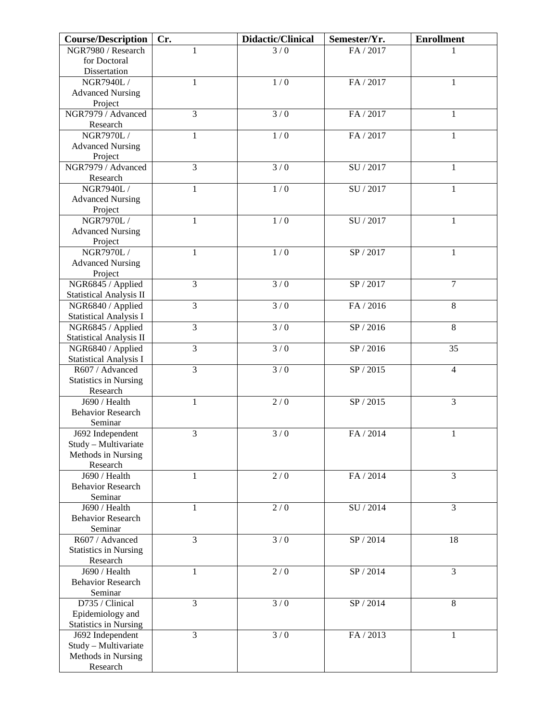| <b>Course/Description</b>      | Cr.            | Didactic/Clinical | Semester/Yr.                | <b>Enrollment</b> |
|--------------------------------|----------------|-------------------|-----------------------------|-------------------|
| NGR7980 / Research             | 1              | 3/0               | FA / 2017                   |                   |
| for Doctoral                   |                |                   |                             |                   |
| Dissertation                   |                |                   |                             |                   |
| NGR7940L /                     | 1              | 1/0               | FA / 2017                   | 1                 |
| <b>Advanced Nursing</b>        |                |                   |                             |                   |
| Project                        |                |                   |                             |                   |
| NGR7979 / Advanced             | $\overline{3}$ | 3/0               | FA / 2017                   | $\mathbf{1}$      |
| Research                       |                |                   |                             |                   |
| NGR7970L /                     | $\mathbf{1}$   | 1/0               | FA / 2017                   | $\mathbf{1}$      |
| <b>Advanced Nursing</b>        |                |                   |                             |                   |
| Project                        |                |                   |                             |                   |
| NGR7979 / Advanced             | $\overline{3}$ | 3/0               | SU / 2017                   | $\mathbf{1}$      |
| Research                       |                |                   |                             |                   |
| NGR7940L /                     | $\mathbf{1}$   | 1/0               | SU / 2017                   | $\mathbf{1}$      |
| <b>Advanced Nursing</b>        |                |                   |                             |                   |
| Project                        |                |                   |                             |                   |
| NGR7970L /                     | $\mathbf{1}$   | 1/0               | SU / 2017                   | $\mathbf{1}$      |
| <b>Advanced Nursing</b>        |                |                   |                             |                   |
| Project                        |                |                   |                             |                   |
| NGR7970L/                      | 1              | 1/0               | SP / 2017                   | 1                 |
| <b>Advanced Nursing</b>        |                |                   |                             |                   |
| Project                        |                |                   |                             |                   |
| NGR6845 / Applied              | 3              | 3/0               | $\overline{\text{SP}/2017}$ | $\overline{7}$    |
| <b>Statistical Analysis II</b> |                |                   |                             |                   |
| NGR6840 / Applied              | $\overline{3}$ | $\overline{3/0}$  | FA / 2016                   | 8                 |
| <b>Statistical Analysis I</b>  |                |                   |                             |                   |
| NGR6845 / Applied              | $\overline{3}$ | 3/0               | SP / 2016                   | $\overline{8}$    |
| <b>Statistical Analysis II</b> |                |                   |                             |                   |
| NGR6840 / Applied              | $\overline{3}$ | 3/0               | SP / 2016                   | 35                |
| <b>Statistical Analysis I</b>  |                |                   |                             |                   |
| R607 / Advanced                | $\overline{3}$ | 3/0               | SP / 2015                   | $\overline{4}$    |
| <b>Statistics in Nursing</b>   |                |                   |                             |                   |
| Research                       |                |                   |                             |                   |
| J690 / Health                  | $\mathbf{1}$   | 2/0               | SP / 2015                   | 3                 |
| <b>Behavior Research</b>       |                |                   |                             |                   |
| Seminar                        |                |                   |                             |                   |
| J692 Independent               | 3              | 3/0               | FA / 2014                   | $\mathbf{1}$      |
| Study – Multivariate           |                |                   |                             |                   |
| Methods in Nursing<br>Research |                |                   |                             |                   |
| J690 / Health                  | 1              | 2/0               | FA / 2014                   | 3                 |
| <b>Behavior Research</b>       |                |                   |                             |                   |
| Seminar                        |                |                   |                             |                   |
| J690 / Health                  | 1              | 2/0               | SU / 2014                   | 3                 |
| <b>Behavior Research</b>       |                |                   |                             |                   |
| Seminar                        |                |                   |                             |                   |
| R607 / Advanced                | 3              | 3/0               | SP / 2014                   | 18                |
| <b>Statistics in Nursing</b>   |                |                   |                             |                   |
| Research                       |                |                   |                             |                   |
| J690 / Health                  | 1              | $2/0$             | SP / 2014                   | 3                 |
| <b>Behavior Research</b>       |                |                   |                             |                   |
| Seminar                        |                |                   |                             |                   |
| D735 / Clinical                | 3              | $\frac{1}{3}$ / 0 | SP / 2014                   | 8                 |
| Epidemiology and               |                |                   |                             |                   |
| <b>Statistics in Nursing</b>   |                |                   |                             |                   |
| J692 Independent               | 3              | 3/0               | FA / 2013                   | 1                 |
| Study - Multivariate           |                |                   |                             |                   |
| Methods in Nursing             |                |                   |                             |                   |
| Research                       |                |                   |                             |                   |
|                                |                |                   |                             |                   |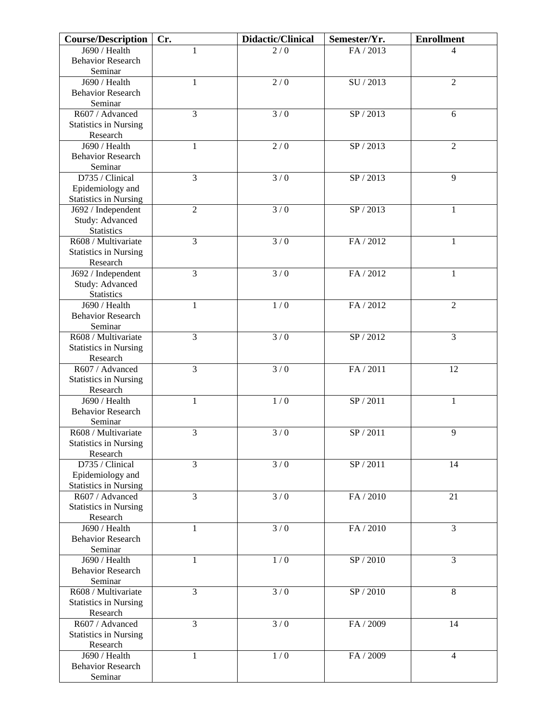| <b>Course/Description</b>                        | Cr.            | Didactic/Clinical | Semester/Yr.                  | <b>Enrollment</b> |
|--------------------------------------------------|----------------|-------------------|-------------------------------|-------------------|
| $\overline{J690}$ / Health                       | 1              | 2/0               | FA / 2013                     | 4                 |
| <b>Behavior Research</b>                         |                |                   |                               |                   |
| Seminar                                          |                |                   |                               |                   |
| J690 / Health                                    | 1              | 2/0               | SU / 2013                     | $\overline{2}$    |
| <b>Behavior Research</b>                         |                |                   |                               |                   |
| Seminar                                          |                |                   |                               |                   |
| R607 / Advanced                                  | 3              | $\frac{1}{3}$ / 0 | SP / 2013                     | 6                 |
| <b>Statistics in Nursing</b>                     |                |                   |                               |                   |
| Research                                         |                |                   |                               |                   |
| J690 / Health                                    | $\mathbf{1}$   | 2/0               | SP/2013                       | $\overline{2}$    |
| <b>Behavior Research</b>                         |                |                   |                               |                   |
| Seminar<br>D735 / Clinical                       | $\overline{3}$ | 3/0               | SP / 2013                     | 9                 |
|                                                  |                |                   |                               |                   |
| Epidemiology and<br><b>Statistics in Nursing</b> |                |                   |                               |                   |
| J692 / Independent                               | $\overline{c}$ | 3/0               | SP / 2013                     | $\mathbf{1}$      |
| Study: Advanced                                  |                |                   |                               |                   |
| <b>Statistics</b>                                |                |                   |                               |                   |
| R608 / Multivariate                              | $\overline{3}$ | 3/0               | FA / 2012                     | $\mathbf{1}$      |
| <b>Statistics in Nursing</b>                     |                |                   |                               |                   |
| Research                                         |                |                   |                               |                   |
| J692 / Independent                               | 3              | 3/0               | FA / 2012                     | 1                 |
| Study: Advanced                                  |                |                   |                               |                   |
| <b>Statistics</b>                                |                |                   |                               |                   |
| J690 / Health                                    | $\mathbf{1}$   | 1/0               | FA / 2012                     | $\overline{2}$    |
| <b>Behavior Research</b>                         |                |                   |                               |                   |
| Seminar                                          |                |                   |                               |                   |
| R608 / Multivariate                              | 3              | 3/0               | $\overline{\text{SP}}$ / 2012 | $\overline{3}$    |
| <b>Statistics in Nursing</b>                     |                |                   |                               |                   |
| Research                                         |                |                   |                               |                   |
| R607 / Advanced                                  | 3              | 3/0               | FA / 2011                     | 12                |
| <b>Statistics in Nursing</b>                     |                |                   |                               |                   |
| Research                                         |                |                   |                               |                   |
| J690 / Health                                    | $\mathbf{1}$   | 1/0               | SP / 2011                     | $\mathbf{1}$      |
| <b>Behavior Research</b>                         |                |                   |                               |                   |
| Seminar                                          |                |                   |                               |                   |
| R608 / Multivariate                              | 3              | $\overline{3/0}$  | SP/2011                       | 9                 |
| <b>Statistics in Nursing</b>                     |                |                   |                               |                   |
| Research                                         |                |                   |                               |                   |
| D735 / Clinical                                  | 3              | 3/0               | SP / 2011                     | 14                |
| Epidemiology and                                 |                |                   |                               |                   |
| <b>Statistics in Nursing</b><br>R607 / Advanced  | $\overline{3}$ | $\frac{1}{3}$ / 0 | FA / 2010                     | 21                |
|                                                  |                |                   |                               |                   |
| <b>Statistics in Nursing</b><br>Research         |                |                   |                               |                   |
| J690 / Health                                    | 1              | 3/0               | FA / 2010                     | $\overline{3}$    |
| <b>Behavior Research</b>                         |                |                   |                               |                   |
| Seminar                                          |                |                   |                               |                   |
| J690 / Health                                    | 1              | 1/0               | SP / 2010                     | 3                 |
| <b>Behavior Research</b>                         |                |                   |                               |                   |
| Seminar                                          |                |                   |                               |                   |
| R608 / Multivariate                              | 3              | 3/0               | SP / 2010                     | 8                 |
| <b>Statistics in Nursing</b>                     |                |                   |                               |                   |
| Research                                         |                |                   |                               |                   |
| R607 / Advanced                                  | $\overline{3}$ | 3/0               | FA / 2009                     | 14                |
| <b>Statistics in Nursing</b>                     |                |                   |                               |                   |
| Research                                         |                |                   |                               |                   |
| J690 / Health                                    | 1              | 1/0               | FA / 2009                     | $\overline{4}$    |
| <b>Behavior Research</b>                         |                |                   |                               |                   |
| Seminar                                          |                |                   |                               |                   |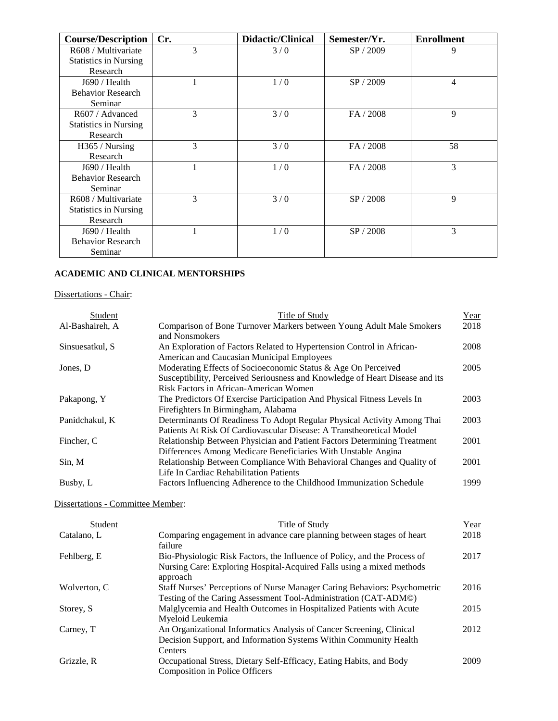| <b>Course/Description</b>    | Cr. | <b>Didactic/Clinical</b> | Semester/Yr. | <b>Enrollment</b> |
|------------------------------|-----|--------------------------|--------------|-------------------|
| R608 / Multivariate          | 3   | 3/0                      | SP / 2009    | 9                 |
| <b>Statistics in Nursing</b> |     |                          |              |                   |
| Research                     |     |                          |              |                   |
| J690 / Health                |     | 1/0                      | SP / 2009    | $\overline{4}$    |
| <b>Behavior Research</b>     |     |                          |              |                   |
| Seminar                      |     |                          |              |                   |
| R607 / Advanced              | 3   | 3/0                      | FA / 2008    | 9                 |
| <b>Statistics in Nursing</b> |     |                          |              |                   |
| Research                     |     |                          |              |                   |
| H365 / Nursing               | 3   | 3/0                      | FA / 2008    | 58                |
| Research                     |     |                          |              |                   |
| J690 / Health                |     | 1/0                      | FA / 2008    | 3                 |
| <b>Behavior Research</b>     |     |                          |              |                   |
| Seminar                      |     |                          |              |                   |
| R608 / Multivariate          | 3   | 3/0                      | SP / 2008    | 9                 |
| <b>Statistics in Nursing</b> |     |                          |              |                   |
| Research                     |     |                          |              |                   |
| J690 / Health                |     | 1/0                      | SP / 2008    | 3                 |
| <b>Behavior Research</b>     |     |                          |              |                   |
| Seminar                      |     |                          |              |                   |

## **ACADEMIC AND CLINICAL MENTORSHIPS**

## Dissertations - Chair:

| Student         | Title of Study                                                               | Year |
|-----------------|------------------------------------------------------------------------------|------|
| Al-Bashaireh, A | Comparison of Bone Turnover Markers between Young Adult Male Smokers         | 2018 |
|                 | and Nonsmokers                                                               |      |
| Sinsuesatkul, S | An Exploration of Factors Related to Hypertension Control in African-        | 2008 |
|                 | American and Caucasian Municipal Employees                                   |      |
| Jones, D        | Moderating Effects of Socioeconomic Status & Age On Perceived                | 2005 |
|                 | Susceptibility, Perceived Seriousness and Knowledge of Heart Disease and its |      |
|                 | Risk Factors in African-American Women                                       |      |
| Pakapong, Y     | The Predictors Of Exercise Participation And Physical Fitness Levels In      | 2003 |
|                 | Firefighters In Birmingham, Alabama                                          |      |
| Panidchakul, K  | Determinants Of Readiness To Adopt Regular Physical Activity Among Thai      | 2003 |
|                 | Patients At Risk Of Cardiovascular Disease: A Transtheoretical Model         |      |
| Fincher, C      | Relationship Between Physician and Patient Factors Determining Treatment     | 2001 |
|                 | Differences Among Medicare Beneficiaries With Unstable Angina                |      |
| Sin, M          | Relationship Between Compliance With Behavioral Changes and Quality of       | 2001 |
|                 | Life In Cardiac Rehabilitation Patients                                      |      |
| Busby, L        | Factors Influencing Adherence to the Childhood Immunization Schedule         | 1999 |
|                 |                                                                              |      |

# Dissertations - Committee Member:

| Student      | Title of Study                                                                                                                                                 | Year |
|--------------|----------------------------------------------------------------------------------------------------------------------------------------------------------------|------|
| Catalano, L  | Comparing engagement in advance care planning between stages of heart<br>failure                                                                               | 2018 |
| Fehlberg, E  | Bio-Physiologic Risk Factors, the Influence of Policy, and the Process of<br>Nursing Care: Exploring Hospital-Acquired Falls using a mixed methods<br>approach | 2017 |
| Wolverton, C | Staff Nurses' Perceptions of Nurse Manager Caring Behaviors: Psychometric<br>Testing of the Caring Assessment Tool-Administration (CAT-ADM©)                   | 2016 |
| Storey, S.   | Malglycemia and Health Outcomes in Hospitalized Patients with Acute<br>Myeloid Leukemia                                                                        | 2015 |
| Carney, T    | An Organizational Informatics Analysis of Cancer Screening, Clinical<br>Decision Support, and Information Systems Within Community Health<br>Centers           | 2012 |
| Grizzle, R   | Occupational Stress, Dietary Self-Efficacy, Eating Habits, and Body<br>Composition in Police Officers                                                          | 2009 |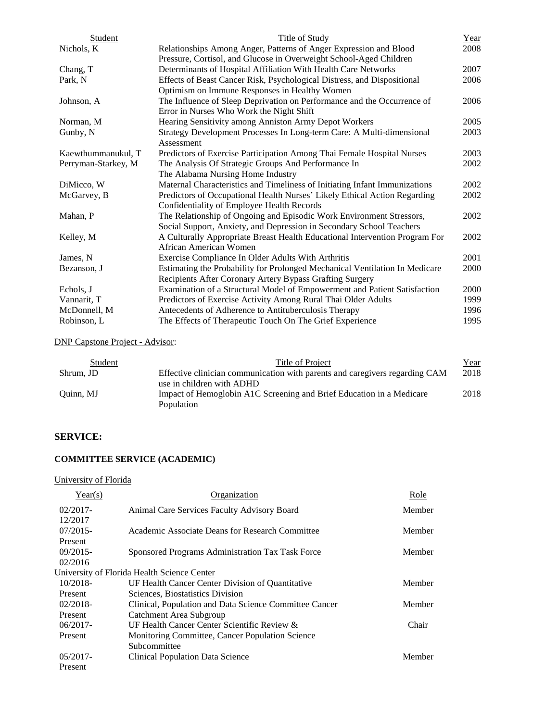| Student             | Title of Study                                                              | Year |
|---------------------|-----------------------------------------------------------------------------|------|
| Nichols, K          | Relationships Among Anger, Patterns of Anger Expression and Blood           | 2008 |
|                     | Pressure, Cortisol, and Glucose in Overweight School-Aged Children          |      |
| Chang, T            | Determinants of Hospital Affiliation With Health Care Networks              | 2007 |
| Park, N             | Effects of Beast Cancer Risk, Psychological Distress, and Dispositional     | 2006 |
|                     | Optimism on Immune Responses in Healthy Women                               |      |
| Johnson, A          | The Influence of Sleep Deprivation on Performance and the Occurrence of     | 2006 |
|                     | Error in Nurses Who Work the Night Shift                                    |      |
| Norman, M           | Hearing Sensitivity among Anniston Army Depot Workers                       | 2005 |
| Gunby, N            | Strategy Development Processes In Long-term Care: A Multi-dimensional       | 2003 |
|                     | Assessment                                                                  |      |
| Kaewthummanukul, T  | Predictors of Exercise Participation Among Thai Female Hospital Nurses      | 2003 |
| Perryman-Starkey, M | The Analysis Of Strategic Groups And Performance In                         | 2002 |
|                     | The Alabama Nursing Home Industry                                           |      |
| DiMicco, W          | Maternal Characteristics and Timeliness of Initiating Infant Immunizations  | 2002 |
| McGarvey, B         | Predictors of Occupational Health Nurses' Likely Ethical Action Regarding   | 2002 |
|                     | Confidentiality of Employee Health Records                                  |      |
| Mahan, P            | The Relationship of Ongoing and Episodic Work Environment Stressors,        | 2002 |
|                     | Social Support, Anxiety, and Depression in Secondary School Teachers        |      |
| Kelley, M           | A Culturally Appropriate Breast Health Educational Intervention Program For | 2002 |
|                     | African American Women                                                      |      |
| James, N            | Exercise Compliance In Older Adults With Arthritis                          | 2001 |
| Bezanson, J         | Estimating the Probability for Prolonged Mechanical Ventilation In Medicare | 2000 |
|                     | Recipients After Coronary Artery Bypass Grafting Surgery                    |      |
| Echols, J           | Examination of a Structural Model of Empowerment and Patient Satisfaction   | 2000 |
| Vannarit, T         | Predictors of Exercise Activity Among Rural Thai Older Adults               | 1999 |
| McDonnell, M        | Antecedents of Adherence to Antituberculosis Therapy                        | 1996 |
| Robinson, L         | The Effects of Therapeutic Touch On The Grief Experience                    | 1995 |

DNP Capstone Project - Advisor:

| Student   | Title of Project                                                            | <u>Year</u> |
|-----------|-----------------------------------------------------------------------------|-------------|
| Shrum, JD | Effective clinician communication with parents and caregivers regarding CAM | 2018        |
|           | use in children with ADHD                                                   |             |
| Ouinn, MJ | Impact of Hemoglobin A1C Screening and Brief Education in a Medicare        | 2018        |
|           | Population                                                                  |             |

# **SERVICE:**

# **COMMITTEE SERVICE (ACADEMIC)**

## University of Florida

| Year(s)     | Organization                                           | Role   |
|-------------|--------------------------------------------------------|--------|
| $02/2017$ - | Animal Care Services Faculty Advisory Board            | Member |
| 12/2017     |                                                        |        |
| $07/2015-$  | Academic Associate Deans for Research Committee        | Member |
| Present     |                                                        |        |
| $09/2015-$  | Sponsored Programs Administration Tax Task Force       | Member |
| 02/2016     |                                                        |        |
|             | University of Florida Health Science Center            |        |
| $10/2018$ - | UF Health Cancer Center Division of Quantitative       | Member |
| Present     | Sciences, Biostatistics Division                       |        |
| $02/2018$ - | Clinical, Population and Data Science Committee Cancer | Member |
| Present     | Catchment Area Subgroup                                |        |
| $06/2017 -$ | UF Health Cancer Center Scientific Review &            | Chair  |
| Present     | Monitoring Committee, Cancer Population Science        |        |
|             | Subcommittee                                           |        |
| $05/2017$ - | <b>Clinical Population Data Science</b>                | Member |
| Present     |                                                        |        |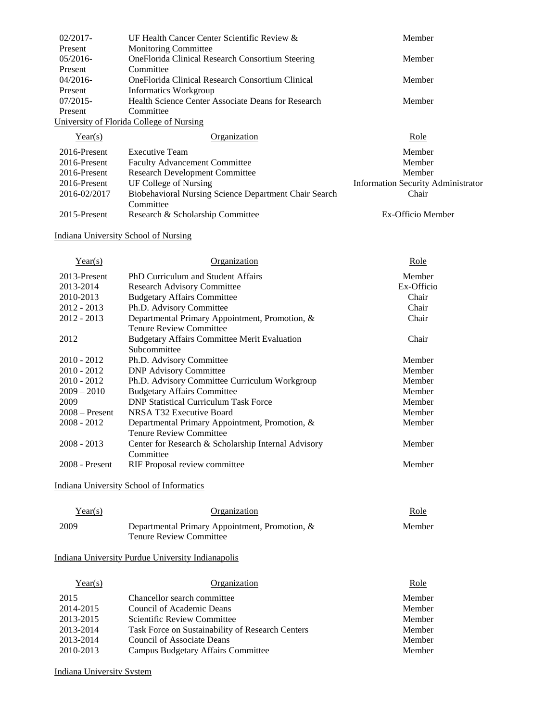| $02/2017$ - | UF Health Cancer Center Scientific Review &        | Member |
|-------------|----------------------------------------------------|--------|
| Present     | <b>Monitoring Committee</b>                        |        |
| 05/2016     | OneFlorida Clinical Research Consortium Steering   | Member |
| Present     | Committee                                          |        |
| $04/2016-$  | OneFlorida Clinical Research Consortium Clinical   | Member |
| Present     | Informatics Workgroup                              |        |
| $07/2015$ - | Health Science Center Associate Deans for Research | Member |
| Present     | Committee                                          |        |
|             | University of Florida College of Nursing           |        |
|             |                                                    |        |

| Year(s)      | <b>Organization</b>                                   | Role                                      |
|--------------|-------------------------------------------------------|-------------------------------------------|
| 2016-Present | Executive Team                                        | Member                                    |
| 2016-Present | <b>Faculty Advancement Committee</b>                  | Member                                    |
| 2016-Present | <b>Research Development Committee</b>                 | Member                                    |
| 2016-Present | UF College of Nursing                                 | <b>Information Security Administrator</b> |
| 2016-02/2017 | Biobehavioral Nursing Science Department Chair Search | Chair                                     |
|              | Committee                                             |                                           |
| 2015-Present | Research & Scholarship Committee                      | Ex-Officio Member                         |

Indiana University School of Nursing

| Year(s)          | Organization                                        | Role       |
|------------------|-----------------------------------------------------|------------|
| 2013-Present     | PhD Curriculum and Student Affairs                  | Member     |
| 2013-2014        | <b>Research Advisory Committee</b>                  | Ex-Officio |
| 2010-2013        | <b>Budgetary Affairs Committee</b>                  | Chair      |
| $2012 - 2013$    | Ph.D. Advisory Committee                            | Chair      |
| $2012 - 2013$    | Departmental Primary Appointment, Promotion, &      | Chair      |
|                  | <b>Tenure Review Committee</b>                      |            |
| 2012             | <b>Budgetary Affairs Committee Merit Evaluation</b> | Chair      |
|                  | Subcommittee                                        |            |
| $2010 - 2012$    | Ph.D. Advisory Committee                            | Member     |
| $2010 - 2012$    | <b>DNP Advisory Committee</b>                       | Member     |
| $2010 - 2012$    | Ph.D. Advisory Committee Curriculum Workgroup       | Member     |
| $2009 - 2010$    | <b>Budgetary Affairs Committee</b>                  | Member     |
| 2009             | <b>DNP Statistical Curriculum Task Force</b>        | Member     |
| $2008 -$ Present | NRSA T32 Executive Board                            | Member     |
| $2008 - 2012$    | Departmental Primary Appointment, Promotion, &      | Member     |
|                  | <b>Tenure Review Committee</b>                      |            |
| $2008 - 2013$    | Center for Research & Scholarship Internal Advisory | Member     |
|                  | Committee                                           |            |
| $2008$ - Present | RIF Proposal review committee                       | Member     |

Indiana University School of Informatics

| Year(s) | Organization                                                                     | Role   |
|---------|----------------------------------------------------------------------------------|--------|
| 2009    | Departmental Primary Appointment, Promotion, &<br><b>Tenure Review Committee</b> | Member |

# Indiana University Purdue University Indianapolis

| Year(s)   | Organization                                     | Role   |
|-----------|--------------------------------------------------|--------|
| 2015      | Chancellor search committee                      | Member |
| 2014-2015 | Council of Academic Deans                        | Member |
| 2013-2015 | Scientific Review Committee                      | Member |
| 2013-2014 | Task Force on Sustainability of Research Centers | Member |
| 2013-2014 | Council of Associate Deans                       | Member |
| 2010-2013 | <b>Campus Budgetary Affairs Committee</b>        | Member |

Indiana University System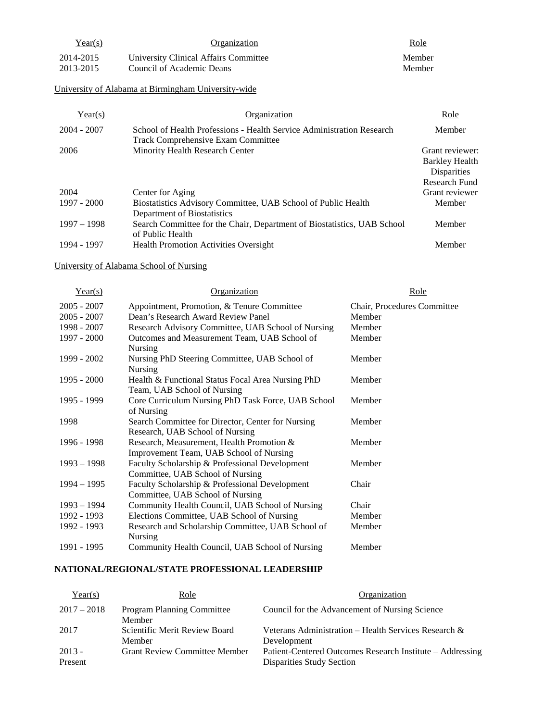| Year(s)   | Organization                          | <u>Role</u> |
|-----------|---------------------------------------|-------------|
| 2014-2015 | University Clinical Affairs Committee | Member      |
| 2013-2015 | Council of Academic Deans             | Member      |

University of Alabama at Birmingham University-wide

| Year(s)       | Organization                                                                                                       | Role               |
|---------------|--------------------------------------------------------------------------------------------------------------------|--------------------|
| $2004 - 2007$ | School of Health Professions - Health Service Administration Research<br><b>Track Comprehensive Exam Committee</b> | Member             |
| 2006          | Minority Health Research Center                                                                                    | Grant reviewer:    |
|               |                                                                                                                    | Barkley Health     |
|               |                                                                                                                    | <b>Disparities</b> |
|               |                                                                                                                    | Research Fund      |
| 2004          | Center for Aging                                                                                                   | Grant reviewer     |
| 1997 - 2000   | Biostatistics Advisory Committee, UAB School of Public Health<br>Department of Biostatistics                       | Member             |
| $1997 - 1998$ | Search Committee for the Chair, Department of Biostatistics, UAB School<br>of Public Health                        | Member             |
| 1994 - 1997   | <b>Health Promotion Activities Oversight</b>                                                                       | Member             |

# University of Alabama School of Nursing

| Year(s)       | Organization                                       | Role                        |
|---------------|----------------------------------------------------|-----------------------------|
| $2005 - 2007$ | Appointment, Promotion, & Tenure Committee         | Chair, Procedures Committee |
| $2005 - 2007$ | Dean's Research Award Review Panel                 | Member                      |
| 1998 - 2007   | Research Advisory Committee, UAB School of Nursing | Member                      |
| 1997 - 2000   | Outcomes and Measurement Team, UAB School of       | Member                      |
|               | <b>Nursing</b>                                     |                             |
| 1999 - 2002   | Nursing PhD Steering Committee, UAB School of      | Member                      |
|               | Nursing                                            |                             |
| $1995 - 2000$ | Health & Functional Status Focal Area Nursing PhD  | Member                      |
|               | Team, UAB School of Nursing                        |                             |
| 1995 - 1999   | Core Curriculum Nursing PhD Task Force, UAB School | Member                      |
|               | of Nursing                                         |                             |
| 1998          | Search Committee for Director, Center for Nursing  | Member                      |
|               | Research, UAB School of Nursing                    |                             |
| 1996 - 1998   | Research, Measurement, Health Promotion &          | Member                      |
|               | Improvement Team, UAB School of Nursing            |                             |
| $1993 - 1998$ | Faculty Scholarship & Professional Development     | Member                      |
|               | Committee, UAB School of Nursing                   |                             |
| $1994 - 1995$ | Faculty Scholarship & Professional Development     | Chair                       |
|               | Committee, UAB School of Nursing                   |                             |
| $1993 - 1994$ | Community Health Council, UAB School of Nursing    | Chair                       |
| 1992 - 1993   | Elections Committee, UAB School of Nursing         | Member                      |
| 1992 - 1993   | Research and Scholarship Committee, UAB School of  | Member                      |
|               | <b>Nursing</b>                                     |                             |
| 1991 - 1995   | Community Health Council, UAB School of Nursing    | Member                      |

# **NATIONAL/REGIONAL/STATE PROFESSIONAL LEADERSHIP**

| Year(s)             | Role                                        | Organization                                                                                  |
|---------------------|---------------------------------------------|-----------------------------------------------------------------------------------------------|
| $2017 - 2018$       | <b>Program Planning Committee</b><br>Member | Council for the Advancement of Nursing Science                                                |
| 2017                | Scientific Merit Review Board<br>Member     | Veterans Administration – Health Services Research $\&$<br>Development                        |
| $2013 -$<br>Present | <b>Grant Review Committee Member</b>        | Patient-Centered Outcomes Research Institute – Addressing<br><b>Disparities Study Section</b> |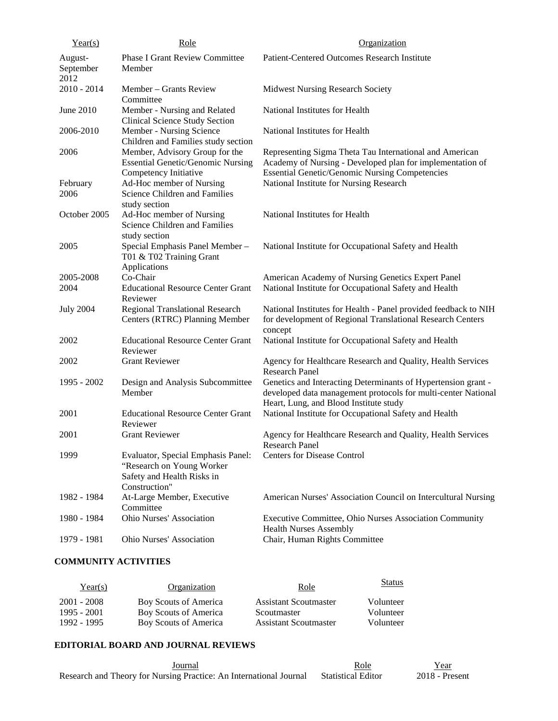| Year(s)                      | Role                                                                                                           | Organization                                                                                                                                                                  |
|------------------------------|----------------------------------------------------------------------------------------------------------------|-------------------------------------------------------------------------------------------------------------------------------------------------------------------------------|
| August-<br>September<br>2012 | <b>Phase I Grant Review Committee</b><br>Member                                                                | Patient-Centered Outcomes Research Institute                                                                                                                                  |
| $2010 - 2014$                | Member – Grants Review<br>Committee                                                                            | <b>Midwest Nursing Research Society</b>                                                                                                                                       |
| June 2010                    | Member - Nursing and Related<br><b>Clinical Science Study Section</b>                                          | National Institutes for Health                                                                                                                                                |
| 2006-2010                    | Member - Nursing Science<br>Children and Families study section                                                | National Institutes for Health                                                                                                                                                |
| 2006                         | Member, Advisory Group for the<br><b>Essential Genetic/Genomic Nursing</b><br>Competency Initiative            | Representing Sigma Theta Tau International and American<br>Academy of Nursing - Developed plan for implementation of<br><b>Essential Genetic/Genomic Nursing Competencies</b> |
| February<br>2006             | Ad-Hoc member of Nursing<br>Science Children and Families<br>study section                                     | National Institute for Nursing Research                                                                                                                                       |
| October 2005                 | Ad-Hoc member of Nursing<br>Science Children and Families<br>study section                                     | National Institutes for Health                                                                                                                                                |
| 2005                         | Special Emphasis Panel Member-<br>T01 & T02 Training Grant<br>Applications                                     | National Institute for Occupational Safety and Health                                                                                                                         |
| 2005-2008<br>2004            | Co-Chair<br><b>Educational Resource Center Grant</b><br>Reviewer                                               | American Academy of Nursing Genetics Expert Panel<br>National Institute for Occupational Safety and Health                                                                    |
| <b>July 2004</b>             | Regional Translational Research<br>Centers (RTRC) Planning Member                                              | National Institutes for Health - Panel provided feedback to NIH<br>for development of Regional Translational Research Centers<br>concept                                      |
| 2002                         | <b>Educational Resource Center Grant</b><br>Reviewer                                                           | National Institute for Occupational Safety and Health                                                                                                                         |
| 2002                         | <b>Grant Reviewer</b>                                                                                          | Agency for Healthcare Research and Quality, Health Services<br><b>Research Panel</b>                                                                                          |
| 1995 - 2002                  | Design and Analysis Subcommittee<br>Member                                                                     | Genetics and Interacting Determinants of Hypertension grant -<br>developed data management protocols for multi-center National<br>Heart, Lung, and Blood Institute study      |
| 2001                         | <b>Educational Resource Center Grant</b><br>Reviewer                                                           | National Institute for Occupational Safety and Health                                                                                                                         |
| 2001                         | <b>Grant Reviewer</b>                                                                                          | Agency for Healthcare Research and Quality, Health Services<br>Research Panel                                                                                                 |
| 1999                         | Evaluator, Special Emphasis Panel:<br>"Research on Young Worker<br>Safety and Health Risks in<br>Construction" | <b>Centers for Disease Control</b>                                                                                                                                            |
| 1982 - 1984                  | At-Large Member, Executive<br>Committee                                                                        | American Nurses' Association Council on Intercultural Nursing                                                                                                                 |
| 1980 - 1984                  | Ohio Nurses' Association                                                                                       | Executive Committee, Ohio Nurses Association Community<br><b>Health Nurses Assembly</b>                                                                                       |
| 1979 - 1981                  | Ohio Nurses' Association                                                                                       | Chair, Human Rights Committee                                                                                                                                                 |

## **COMMUNITY ACTIVITIES**

| Year(s)       | Organization          | Role                         | <b>Status</b> |
|---------------|-----------------------|------------------------------|---------------|
| $2001 - 2008$ | Boy Scouts of America | <b>Assistant Scoutmaster</b> | Volunteer     |
| 1995 - 2001   | Boy Scouts of America | Scoutmaster                  | Volunteer     |
| 1992 - 1995   | Boy Scouts of America | <b>Assistant Scoutmaster</b> | Volunteer     |

## **EDITORIAL BOARD AND JOURNAL REVIEWS**

| Journal                                                            | Role                      | Year             |
|--------------------------------------------------------------------|---------------------------|------------------|
| Research and Theory for Nursing Practice: An International Journal | <b>Statistical Editor</b> | $2018$ - Present |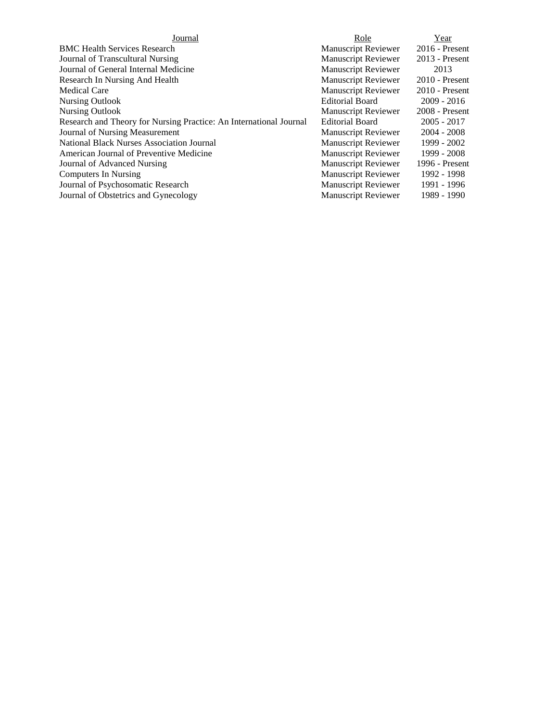| Journal                                                            | Role                       | Year             |
|--------------------------------------------------------------------|----------------------------|------------------|
| <b>BMC Health Services Research</b>                                | <b>Manuscript Reviewer</b> | $2016$ - Present |
| Journal of Transcultural Nursing                                   | <b>Manuscript Reviewer</b> | $2013$ - Present |
| Journal of General Internal Medicine                               | <b>Manuscript Reviewer</b> | 2013             |
| Research In Nursing And Health                                     | <b>Manuscript Reviewer</b> | $2010$ - Present |
| <b>Medical Care</b>                                                | <b>Manuscript Reviewer</b> | $2010$ - Present |
| Nursing Outlook                                                    | <b>Editorial Board</b>     | $2009 - 2016$    |
| Nursing Outlook                                                    | <b>Manuscript Reviewer</b> | $2008$ - Present |
| Research and Theory for Nursing Practice: An International Journal | <b>Editorial Board</b>     | $2005 - 2017$    |
| Journal of Nursing Measurement                                     | <b>Manuscript Reviewer</b> | $2004 - 2008$    |
| <b>National Black Nurses Association Journal</b>                   | <b>Manuscript Reviewer</b> | 1999 - 2002      |
| American Journal of Preventive Medicine                            | <b>Manuscript Reviewer</b> | 1999 - 2008      |
| Journal of Advanced Nursing                                        | <b>Manuscript Reviewer</b> | 1996 - Present   |
| Computers In Nursing                                               | <b>Manuscript Reviewer</b> | 1992 - 1998      |
| Journal of Psychosomatic Research                                  | <b>Manuscript Reviewer</b> | 1991 - 1996      |
| Journal of Obstetrics and Gynecology                               | <b>Manuscript Reviewer</b> | 1989 - 1990      |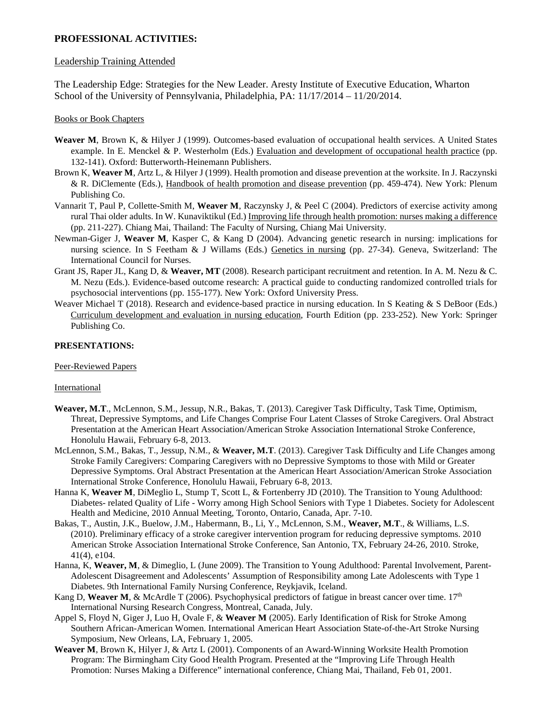## **PROFESSIONAL ACTIVITIES:**

### Leadership Training Attended

The Leadership Edge: Strategies for the New Leader. Aresty Institute of Executive Education, Wharton School of the University of Pennsylvania, Philadelphia, PA: 11/17/2014 – 11/20/2014.

#### Books or Book Chapters

- **Weaver M**, Brown K, & Hilyer J (1999). Outcomes-based evaluation of occupational health services. A United States example. In E. Menckel & P. Westerholm (Eds.) Evaluation and development of occupational health practice (pp. 132-141). Oxford: Butterworth-Heinemann Publishers.
- Brown K, **Weaver M**, Artz L, & Hilyer J (1999). Health promotion and disease prevention at the worksite. In J. Raczynski & R. DiClemente (Eds.), Handbook of health promotion and disease prevention (pp. 459-474). New York: Plenum Publishing Co.
- Vannarit T, Paul P, Collette-Smith M, **Weaver M**, Raczynsky J, & Peel C (2004). Predictors of exercise activity among rural Thai older adults. In W. Kunaviktikul (Ed.) Improving life through health promotion: nurses making a difference (pp. 211-227). Chiang Mai, Thailand: The Faculty of Nursing, Chiang Mai University.
- Newman-Giger J, **Weaver M**, Kasper C, & Kang D (2004). Advancing genetic research in nursing: implications for nursing science. In S Feetham & J Willams (Eds.) Genetics in nursing (pp. 27-34). Geneva, Switzerland: The International Council for Nurses.
- Grant JS, Raper JL, Kang D, & **Weaver, MT** (2008). Research participant recruitment and retention. In A. M. Nezu & C. M. Nezu (Eds.). Evidence-based outcome research: A practical guide to conducting randomized controlled trials for psychosocial interventions (pp. 155-177). New York: Oxford University Press.
- Weaver Michael T (2018). Research and evidence-based practice in nursing education. In S Keating & S DeBoor (Eds.) Curriculum development and evaluation in nursing education, Fourth Edition (pp. 233-252). New York: Springer Publishing Co.

## **PRESENTATIONS:**

#### Peer-Reviewed Papers

#### International

- **Weaver, M.T**., McLennon, S.M., Jessup, N.R., Bakas, T. (2013). Caregiver Task Difficulty, Task Time, Optimism, Threat, Depressive Symptoms, and Life Changes Comprise Four Latent Classes of Stroke Caregivers. Oral Abstract Presentation at the American Heart Association/American Stroke Association International Stroke Conference, Honolulu Hawaii, February 6-8, 2013.
- McLennon, S.M., Bakas, T., Jessup, N.M., & **Weaver, M.T**. (2013). Caregiver Task Difficulty and Life Changes among Stroke Family Caregivers: Comparing Caregivers with no Depressive Symptoms to those with Mild or Greater Depressive Symptoms. Oral Abstract Presentation at the American Heart Association/American Stroke Association International Stroke Conference, Honolulu Hawaii, February 6-8, 2013.
- Hanna K, **Weaver M**, DiMeglio L, Stump T, Scott L, & Fortenberry JD (2010). The Transition to Young Adulthood: Diabetes- related Quality of Life - Worry among High School Seniors with Type 1 Diabetes. Society for Adolescent Health and Medicine, 2010 Annual Meeting, Toronto, Ontario, Canada, Apr. 7-10.
- Bakas, T., Austin, J.K., Buelow, J.M., Habermann, B., Li, Y., McLennon, S.M., **Weaver, M.T**., & Williams, L.S. (2010). Preliminary efficacy of a stroke caregiver intervention program for reducing depressive symptoms. 2010 American Stroke Association International Stroke Conference, San Antonio, TX, February 24-26, 2010. Stroke, 41(4), e104.
- Hanna, K, **Weaver, M**, & Dimeglio, L (June 2009). The Transition to Young Adulthood: Parental Involvement, Parent-Adolescent Disagreement and Adolescents' Assumption of Responsibility among Late Adolescents with Type 1 Diabetes. 9th International Family Nursing Conference, Reykjavik, Iceland.
- Kang D, Weaver M, & McArdle T (2006). Psychophysical predictors of fatigue in breast cancer over time. 17<sup>th</sup> International Nursing Research Congress, Montreal, Canada, July.
- Appel S, Floyd N, Giger J, Luo H, Ovale F, & **Weaver M** (2005). Early Identification of Risk for Stroke Among Southern African-American Women. International American Heart Association State-of-the-Art Stroke Nursing Symposium, New Orleans, LA, February 1, 2005.
- **Weaver M**, Brown K, Hilyer J, & Artz L (2001). Components of an Award-Winning Worksite Health Promotion Program: The Birmingham City Good Health Program. Presented at the "Improving Life Through Health Promotion: Nurses Making a Difference" international conference, Chiang Mai, Thailand, Feb 01, 2001.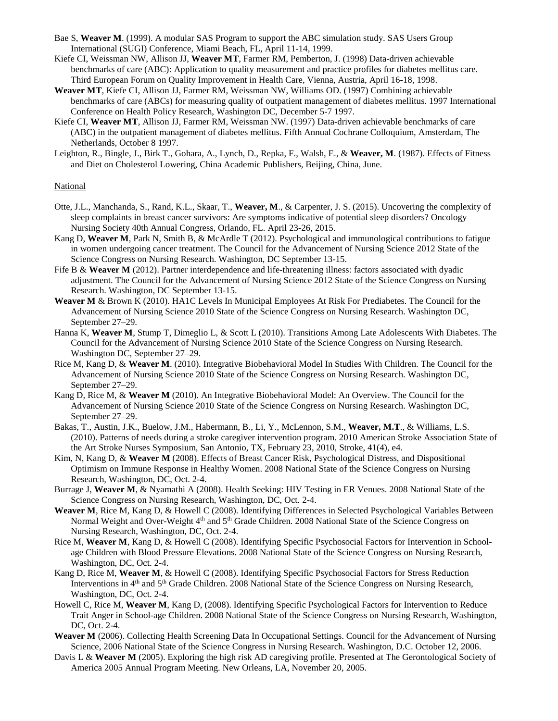- Bae S, **Weaver M**. (1999). A modular SAS Program to support the ABC simulation study. SAS Users Group International (SUGI) Conference, Miami Beach, FL, April 11-14, 1999.
- Kiefe CI, Weissman NW, Allison JJ, **Weaver MT**, Farmer RM, Pemberton, J. (1998) Data-driven achievable benchmarks of care (ABC): Application to quality measurement and practice profiles for diabetes mellitus care. Third European Forum on Quality Improvement in Health Care, Vienna, Austria, April 16-18, 1998.
- **Weaver MT**, Kiefe CI, Allison JJ, Farmer RM, Weissman NW, Williams OD. (1997) Combining achievable benchmarks of care (ABCs) for measuring quality of outpatient management of diabetes mellitus. 1997 International Conference on Health Policy Research, Washington DC, December 5-7 1997.
- Kiefe CI, **Weaver MT**, Allison JJ, Farmer RM, Weissman NW. (1997) Data-driven achievable benchmarks of care (ABC) in the outpatient management of diabetes mellitus. Fifth Annual Cochrane Colloquium, Amsterdam, The Netherlands, October 8 1997.
- Leighton, R., Bingle, J., Birk T., Gohara, A., Lynch, D., Repka, F., Walsh, E., & **Weaver, M**. (1987). Effects of Fitness and Diet on Cholesterol Lowering, China Academic Publishers, Beijing, China, June.

#### National

- Otte, J.L., Manchanda, S., Rand, K.L., Skaar, T., **Weaver, M**., & Carpenter, J. S. (2015). Uncovering the complexity of sleep complaints in breast cancer survivors: Are symptoms indicative of potential sleep disorders? Oncology Nursing Society 40th Annual Congress, Orlando, FL. April 23-26, 2015.
- Kang D, **Weaver M**, Park N, Smith B, & McArdle T (2012). Psychological and immunological contributions to fatigue in women undergoing cancer treatment. The Council for the Advancement of Nursing Science 2012 State of the Science Congress on Nursing Research. Washington, DC September 13-15.
- Fife B & **Weaver M** (2012). Partner interdependence and life-threatening illness: factors associated with dyadic adjustment. The Council for the Advancement of Nursing Science 2012 State of the Science Congress on Nursing Research. Washington, DC September 13-15.
- **Weaver M** & Brown K (2010). HA1C Levels In Municipal Employees At Risk For Prediabetes. The Council for the Advancement of Nursing Science 2010 State of the Science Congress on Nursing Research. Washington DC, September 27–29.
- Hanna K, **Weaver M**, Stump T, Dimeglio L, & Scott L (2010). Transitions Among Late Adolescents With Diabetes. The Council for the Advancement of Nursing Science 2010 State of the Science Congress on Nursing Research. Washington DC, September 27–29.
- Rice M, Kang D, & **Weaver M**. (2010). Integrative Biobehavioral Model In Studies With Children. The Council for the Advancement of Nursing Science 2010 State of the Science Congress on Nursing Research. Washington DC, September 27–29.
- Kang D, Rice M, & **Weaver M** (2010). An Integrative Biobehavioral Model: An Overview. The Council for the Advancement of Nursing Science 2010 State of the Science Congress on Nursing Research. Washington DC, September 27–29.
- Bakas, T., Austin, J.K., Buelow, J.M., Habermann, B., Li, Y., McLennon, S.M., **Weaver, M.T**., & Williams, L.S. (2010). Patterns of needs during a stroke caregiver intervention program. 2010 American Stroke Association State of the Art Stroke Nurses Symposium, San Antonio, TX, February 23, 2010, Stroke, 41(4), e4.
- Kim, N, Kang D, & **Weaver M** (2008). Effects of Breast Cancer Risk, Psychological Distress, and Dispositional Optimism on Immune Response in Healthy Women. 2008 National State of the Science Congress on Nursing Research, Washington, DC, Oct. 2-4.
- Burrage J, **Weaver M**, & Nyamathi A (2008). Health Seeking: HIV Testing in ER Venues. 2008 National State of the Science Congress on Nursing Research, Washington, DC, Oct. 2-4.
- **Weaver M**, Rice M, Kang D, & Howell C (2008). Identifying Differences in Selected Psychological Variables Between Normal Weight and Over-Weight 4<sup>th</sup> and 5<sup>th</sup> Grade Children. 2008 National State of the Science Congress on Nursing Research, Washington, DC, Oct. 2-4.
- Rice M, **Weaver M**, Kang D, & Howell C (2008). Identifying Specific Psychosocial Factors for Intervention in Schoolage Children with Blood Pressure Elevations. 2008 National State of the Science Congress on Nursing Research, Washington, DC, Oct. 2-4.
- Kang D, Rice M, **Weaver M**, & Howell C (2008). Identifying Specific Psychosocial Factors for Stress Reduction Interventions in 4<sup>th</sup> and 5<sup>th</sup> Grade Children. 2008 National State of the Science Congress on Nursing Research, Washington, DC, Oct. 2-4.
- Howell C, Rice M, **Weaver M**, Kang D, (2008). Identifying Specific Psychological Factors for Intervention to Reduce Trait Anger in School-age Children. 2008 National State of the Science Congress on Nursing Research, Washington, DC, Oct. 2-4.
- **Weaver M** (2006). Collecting Health Screening Data In Occupational Settings. Council for the Advancement of Nursing Science, 2006 National State of the Science Congress in Nursing Research. Washington, D.C. October 12, 2006.
- Davis L & **Weaver M** (2005). Exploring the high risk AD caregiving profile. Presented at The Gerontological Society of America 2005 Annual Program Meeting. New Orleans, LA, November 20, 2005.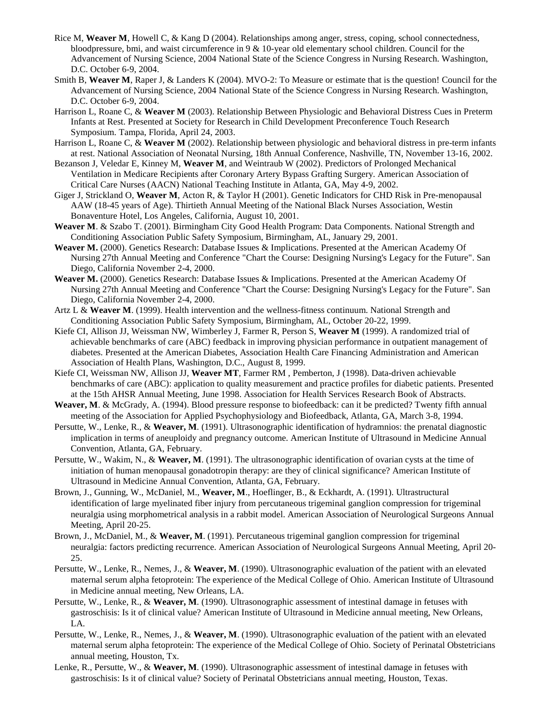- Rice M, **Weaver M**, Howell C, & Kang D (2004). Relationships among anger, stress, coping, school connectedness, bloodpressure, bmi, and waist circumference in 9 & 10-year old elementary school children. Council for the Advancement of Nursing Science, 2004 National State of the Science Congress in Nursing Research. Washington, D.C. October 6-9, 2004.
- Smith B, **Weaver M**, Raper J, & Landers K (2004). MVO-2: To Measure or estimate that is the question! Council for the Advancement of Nursing Science, 2004 National State of the Science Congress in Nursing Research. Washington, D.C. October 6-9, 2004.
- Harrison L, Roane C, & **Weaver M** (2003). Relationship Between Physiologic and Behavioral Distress Cues in Preterm Infants at Rest. Presented at Society for Research in Child Development Preconference Touch Research Symposium. Tampa, Florida, April 24, 2003.
- Harrison L, Roane C, & **Weaver M** (2002). Relationship between physiologic and behavioral distress in pre-term infants at rest. National Association of Neonatal Nursing, 18th Annual Conference, Nashville, TN, November 13-16, 2002.
- Bezanson J, Veledar E, Kinney M, **Weaver M**, and Weintraub W (2002). Predictors of Prolonged Mechanical Ventilation in Medicare Recipients after Coronary Artery Bypass Grafting Surgery. American Association of Critical Care Nurses (AACN) National Teaching Institute in Atlanta, GA, May 4-9, 2002.
- Giger J, Strickland O, **Weaver M**, Acton R, & Taylor H (2001). Genetic Indicators for CHD Risk in Pre-menopausal AAW (18-45 years of Age). Thirtieth Annual Meeting of the National Black Nurses Association, Westin Bonaventure Hotel, Los Angeles, California, August 10, 2001.
- **Weaver M**. & Szabo T. (2001). Birmingham City Good Health Program: Data Components. National Strength and Conditioning Association Public Safety Symposium, Birmingham, AL, January 29, 2001.
- **Weaver M.** (2000). Genetics Research: Database Issues & Implications. Presented at the American Academy Of Nursing 27th Annual Meeting and Conference "Chart the Course: Designing Nursing's Legacy for the Future". San Diego, California November 2-4, 2000.
- **Weaver M.** (2000). Genetics Research: Database Issues & Implications. Presented at the American Academy Of Nursing 27th Annual Meeting and Conference "Chart the Course: Designing Nursing's Legacy for the Future". San Diego, California November 2-4, 2000.
- Artz L & **Weaver M**. (1999). Health intervention and the wellness-fitness continuum. National Strength and Conditioning Association Public Safety Symposium, Birmingham, AL, October 20-22, 1999.
- Kiefe CI, Allison JJ, Weissman NW, Wimberley J, Farmer R, Person S, **Weaver M** (1999). A randomized trial of achievable benchmarks of care (ABC) feedback in improving physician performance in outpatient management of diabetes. Presented at the American Diabetes, Association Health Care Financing Administration and American Association of Health Plans, Washington, D.C., August 8, 1999.
- Kiefe CI, Weissman NW, Allison JJ, **Weaver MT**, Farmer RM , Pemberton, J (1998). Data-driven achievable benchmarks of care (ABC): application to quality measurement and practice profiles for diabetic patients. Presented at the 15th AHSR Annual Meeting, June 1998. Association for Health Services Research Book of Abstracts.
- **Weaver, M**. & McGrady, A. (1994). Blood pressure response to biofeedback: can it be predicted? Twenty fifth annual meeting of the Association for Applied Psychophysiology and Biofeedback, Atlanta, GA, March 3-8, 1994.
- Persutte, W., Lenke, R., & **Weaver, M**. (1991). Ultrasonographic identification of hydramnios: the prenatal diagnostic implication in terms of aneuploidy and pregnancy outcome. American Institute of Ultrasound in Medicine Annual Convention, Atlanta, GA, February.
- Persutte, W., Wakim, N., & **Weaver, M**. (1991). The ultrasonographic identification of ovarian cysts at the time of initiation of human menopausal gonadotropin therapy: are they of clinical significance? American Institute of Ultrasound in Medicine Annual Convention, Atlanta, GA, February.
- Brown, J., Gunning, W., McDaniel, M., **Weaver, M**., Hoeflinger, B., & Eckhardt, A. (1991). Ultrastructural identification of large myelinated fiber injury from percutaneous trigeminal ganglion compression for trigeminal neuralgia using morphometrical analysis in a rabbit model. American Association of Neurological Surgeons Annual Meeting, April 20-25.
- Brown, J., McDaniel, M., & **Weaver, M**. (1991). Percutaneous trigeminal ganglion compression for trigeminal neuralgia: factors predicting recurrence. American Association of Neurological Surgeons Annual Meeting, April 20- 25.
- Persutte, W., Lenke, R., Nemes, J., & **Weaver, M**. (1990). Ultrasonographic evaluation of the patient with an elevated maternal serum alpha fetoprotein: The experience of the Medical College of Ohio. American Institute of Ultrasound in Medicine annual meeting, New Orleans, LA.
- Persutte, W., Lenke, R., & **Weaver, M**. (1990). Ultrasonographic assessment of intestinal damage in fetuses with gastroschisis: Is it of clinical value? American Institute of Ultrasound in Medicine annual meeting, New Orleans, LA.
- Persutte, W., Lenke, R., Nemes, J., & **Weaver, M**. (1990). Ultrasonographic evaluation of the patient with an elevated maternal serum alpha fetoprotein: The experience of the Medical College of Ohio. Society of Perinatal Obstetricians annual meeting, Houston, Tx.
- Lenke, R., Persutte, W., & **Weaver, M**. (1990). Ultrasonographic assessment of intestinal damage in fetuses with gastroschisis: Is it of clinical value? Society of Perinatal Obstetricians annual meeting, Houston, Texas.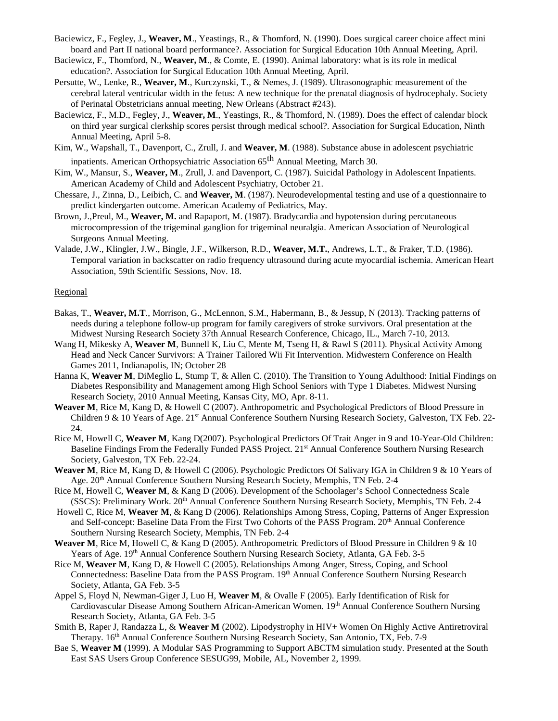- Baciewicz, F., Fegley, J., **Weaver, M**., Yeastings, R., & Thomford, N. (1990). Does surgical career choice affect mini board and Part II national board performance?. Association for Surgical Education 10th Annual Meeting, April.
- Baciewicz, F., Thomford, N., **Weaver, M**., & Comte, E. (1990). Animal laboratory: what is its role in medical education?. Association for Surgical Education 10th Annual Meeting, April.
- Persutte, W., Lenke, R., **Weaver, M**., Kurczynski, T., & Nemes, J. (1989). Ultrasonographic measurement of the cerebral lateral ventricular width in the fetus: A new technique for the prenatal diagnosis of hydrocephaly. Society of Perinatal Obstetricians annual meeting, New Orleans (Abstract #243).
- Baciewicz, F., M.D., Fegley, J., **Weaver, M**., Yeastings, R., & Thomford, N. (1989). Does the effect of calendar block on third year surgical clerkship scores persist through medical school?. Association for Surgical Education, Ninth Annual Meeting, April 5-8.
- Kim, W., Wapshall, T., Davenport, C., Zrull, J. and **Weaver, M**. (1988). Substance abuse in adolescent psychiatric inpatients. American Orthopsychiatric Association 65<sup>th</sup> Annual Meeting, March 30.
- Kim, W., Mansur, S., **Weaver, M**., Zrull, J. and Davenport, C. (1987). Suicidal Pathology in Adolescent Inpatients. American Academy of Child and Adolescent Psychiatry, October 21.
- Chessare, J., Zinna, D., Leibich, C. and **Weaver, M**. (1987). Neurodevelopmental testing and use of a questionnaire to predict kindergarten outcome. American Academy of Pediatrics, May.
- Brown, J.,Preul, M., **Weaver, M.** and Rapaport, M. (1987). Bradycardia and hypotension during percutaneous microcompression of the trigeminal ganglion for trigeminal neuralgia. American Association of Neurological Surgeons Annual Meeting.
- Valade, J.W., Klingler, J.W., Bingle, J.F., Wilkerson, R.D., **Weaver, M.T.**, Andrews, L.T., & Fraker, T.D. (1986). Temporal variation in backscatter on radio frequency ultrasound during acute myocardial ischemia. American Heart Association, 59th Scientific Sessions, Nov. 18.

#### **Regional**

- Bakas, T., **Weaver, M.T**., Morrison, G., McLennon, S.M., Habermann, B., & Jessup, N (2013). Tracking patterns of needs during a telephone follow-up program for family caregivers of stroke survivors. Oral presentation at the Midwest Nursing Research Society 37th Annual Research Conference, Chicago, IL., March 7-10, 2013.
- Wang H, Mikesky A, **Weaver M**, Bunnell K, Liu C, Mente M, Tseng H, & Rawl S (2011). Physical Activity Among Head and Neck Cancer Survivors: A Trainer Tailored Wii Fit Intervention. Midwestern Conference on Health Games 2011, Indianapolis, IN; October 28
- Hanna K, **Weaver M**, DiMeglio L, Stump T, & Allen C. (2010). The Transition to Young Adulthood: Initial Findings on Diabetes Responsibility and Management among High School Seniors with Type 1 Diabetes. Midwest Nursing Research Society, 2010 Annual Meeting, Kansas City, MO, Apr. 8-11.
- **Weaver M**, Rice M, Kang D, & Howell C (2007). Anthropometric and Psychological Predictors of Blood Pressure in Children 9 & 10 Years of Age. 21<sup>st</sup> Annual Conference Southern Nursing Research Society, Galveston, TX Feb. 22-24.
- Rice M, Howell C, **Weaver M**, Kang D(2007). Psychological Predictors Of Trait Anger in 9 and 10-Year-Old Children: Baseline Findings From the Federally Funded PASS Project. 21st Annual Conference Southern Nursing Research Society, Galveston, TX Feb. 22-24.
- **Weaver M**, Rice M, Kang D, & Howell C (2006). Psychologic Predictors Of Salivary IGA in Children 9 & 10 Years of Age. 20th Annual Conference Southern Nursing Research Society, Memphis, TN Feb. 2-4
- Rice M, Howell C, **Weaver M**, & Kang D (2006). Development of the Schoolager's School Connectedness Scale (SSCS): Preliminary Work. 20<sup>th</sup> Annual Conference Southern Nursing Research Society, Memphis, TN Feb. 2-4
- Howell C, Rice M, **Weaver M**, & Kang D (2006). Relationships Among Stress, Coping, Patterns of Anger Expression and Self-concept: Baseline Data From the First Two Cohorts of the PASS Program. 20th Annual Conference Southern Nursing Research Society, Memphis, TN Feb. 2-4
- **Weaver M**, Rice M, Howell C, & Kang D (2005). Anthropometric Predictors of Blood Pressure in Children 9 & 10 Years of Age. 19th Annual Conference Southern Nursing Research Society, Atlanta, GA Feb. 3-5
- Rice M, **Weaver M**, Kang D, & Howell C (2005). Relationships Among Anger, Stress, Coping, and School Connectedness: Baseline Data from the PASS Program. 19th Annual Conference Southern Nursing Research Society, Atlanta, GA Feb. 3-5
- Appel S, Floyd N, Newman-Giger J, Luo H, **Weaver M**, & Ovalle F (2005). Early Identification of Risk for Cardiovascular Disease Among Southern African-American Women. 19th Annual Conference Southern Nursing Research Society, Atlanta, GA Feb. 3-5
- Smith B, Raper J, Randazza L, & **Weaver M** (2002). Lipodystrophy in HIV+ Women On Highly Active Antiretroviral Therapy. 16th Annual Conference Southern Nursing Research Society, San Antonio, TX, Feb. 7-9
- Bae S, **Weaver M** (1999). A Modular SAS Programming to Support ABCTM simulation study. Presented at the South East SAS Users Group Conference SESUG99, Mobile, AL, November 2, 1999.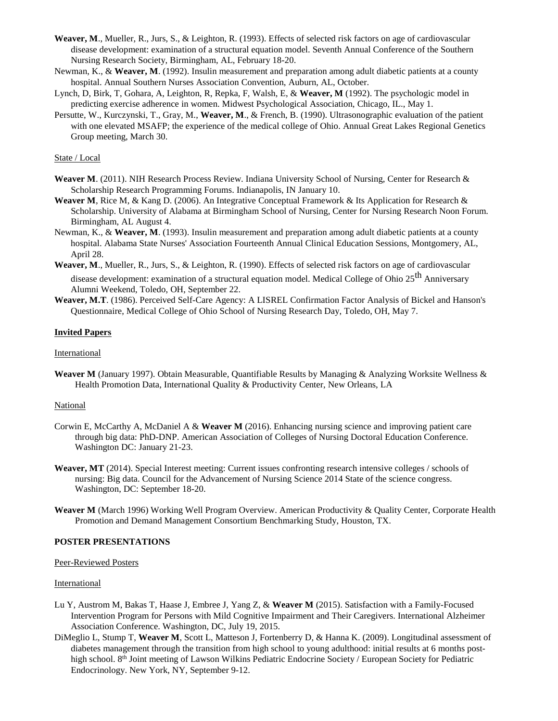- **Weaver, M**., Mueller, R., Jurs, S., & Leighton, R. (1993). Effects of selected risk factors on age of cardiovascular disease development: examination of a structural equation model. Seventh Annual Conference of the Southern Nursing Research Society, Birmingham, AL, February 18-20.
- Newman, K., & **Weaver, M**. (1992). Insulin measurement and preparation among adult diabetic patients at a county hospital. Annual Southern Nurses Association Convention, Auburn, AL, October.
- Lynch, D, Birk, T, Gohara, A, Leighton, R, Repka, F, Walsh, E, & **Weaver, M** (1992). The psychologic model in predicting exercise adherence in women. Midwest Psychological Association, Chicago, IL., May 1.
- Persutte, W., Kurczynski, T., Gray, M., **Weaver, M**., & French, B. (1990). Ultrasonographic evaluation of the patient with one elevated MSAFP; the experience of the medical college of Ohio. Annual Great Lakes Regional Genetics Group meeting, March 30.

#### State / Local

- **Weaver M**. (2011). NIH Research Process Review. Indiana University School of Nursing, Center for Research & Scholarship Research Programming Forums. Indianapolis, IN January 10.
- **Weaver M**, Rice M, & Kang D. (2006). An Integrative Conceptual Framework & Its Application for Research & Scholarship. University of Alabama at Birmingham School of Nursing, Center for Nursing Research Noon Forum. Birmingham, AL August 4.
- Newman, K., & **Weaver, M**. (1993). Insulin measurement and preparation among adult diabetic patients at a county hospital. Alabama State Nurses' Association Fourteenth Annual Clinical Education Sessions, Montgomery, AL, April 28.
- **Weaver, M**., Mueller, R., Jurs, S., & Leighton, R. (1990). Effects of selected risk factors on age of cardiovascular

disease development: examination of a structural equation model. Medical College of Ohio 25<sup>th</sup> Anniversary Alumni Weekend, Toledo, OH, September 22.

**Weaver, M.T**. (1986). Perceived Self-Care Agency: A LISREL Confirmation Factor Analysis of Bickel and Hanson's Questionnaire, Medical College of Ohio School of Nursing Research Day, Toledo, OH, May 7.

#### **Invited Papers**

#### International

**Weaver M** (January 1997). Obtain Measurable, Quantifiable Results by Managing & Analyzing Worksite Wellness & Health Promotion Data, International Quality & Productivity Center, New Orleans, LA

#### **National**

- Corwin E, McCarthy A, McDaniel A & **Weaver M** (2016). Enhancing nursing science and improving patient care through big data: PhD-DNP. American Association of Colleges of Nursing Doctoral Education Conference. Washington DC: January 21-23.
- **Weaver, MT** (2014). Special Interest meeting: Current issues confronting research intensive colleges / schools of nursing: Big data. Council for the Advancement of Nursing Science 2014 State of the science congress. Washington, DC: September 18-20.
- **Weaver M** (March 1996) Working Well Program Overview. American Productivity & Quality Center, Corporate Health Promotion and Demand Management Consortium Benchmarking Study, Houston, TX.

#### **POSTER PRESENTATIONS**

#### Peer-Reviewed Posters

#### International

- Lu Y, Austrom M, Bakas T, Haase J, Embree J, Yang Z, & **Weaver M** (2015). Satisfaction with a Family-Focused Intervention Program for Persons with Mild Cognitive Impairment and Their Caregivers. International Alzheimer Association Conference. Washington, DC, July 19, 2015.
- DiMeglio L, Stump T, **Weaver M**, Scott L, Matteson J, Fortenberry D, & Hanna K. (2009). Longitudinal assessment of diabetes management through the transition from high school to young adulthood: initial results at 6 months posthigh school. 8<sup>th</sup> Joint meeting of Lawson Wilkins Pediatric Endocrine Society / European Society for Pediatric Endocrinology. New York, NY, September 9-12.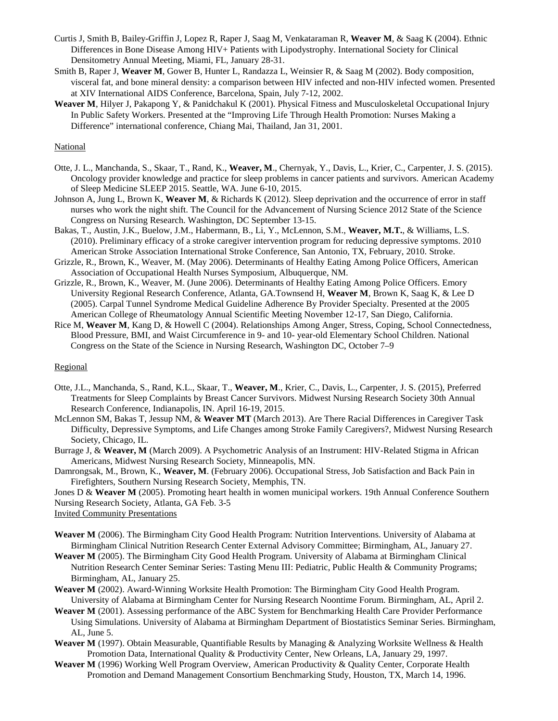- Curtis J, Smith B, Bailey-Griffin J, Lopez R, Raper J, Saag M, Venkataraman R, **Weaver M**, & Saag K (2004). Ethnic Differences in Bone Disease Among HIV+ Patients with Lipodystrophy. International Society for Clinical Densitometry Annual Meeting, Miami, FL, January 28-31.
- Smith B, Raper J, **Weaver M**, Gower B, Hunter L, Randazza L, Weinsier R, & Saag M (2002). Body composition, visceral fat, and bone mineral density: a comparison between HIV infected and non-HIV infected women. Presented at XIV International AIDS Conference, Barcelona, Spain, July 7-12, 2002.
- **Weaver M**, Hilyer J, Pakapong Y, & Panidchakul K (2001). Physical Fitness and Musculoskeletal Occupational Injury In Public Safety Workers. Presented at the "Improving Life Through Health Promotion: Nurses Making a Difference" international conference, Chiang Mai, Thailand, Jan 31, 2001.

#### National

- Otte, J. L., Manchanda, S., Skaar, T., Rand, K., **Weaver, M**., Chernyak, Y., Davis, L., Krier, C., Carpenter, J. S. (2015). Oncology provider knowledge and practice for sleep problems in cancer patients and survivors. American Academy of Sleep Medicine SLEEP 2015. Seattle, WA. June 6-10, 2015.
- Johnson A, Jung L, Brown K, **Weaver M**, & Richards K (2012). Sleep deprivation and the occurrence of error in staff nurses who work the night shift. The Council for the Advancement of Nursing Science 2012 State of the Science Congress on Nursing Research. Washington, DC September 13-15.
- Bakas, T., Austin, J.K., Buelow, J.M., Habermann, B., Li, Y., McLennon, S.M., **Weaver, M.T.**, & Williams, L.S. (2010). Preliminary efficacy of a stroke caregiver intervention program for reducing depressive symptoms. 2010 American Stroke Association International Stroke Conference, San Antonio, TX, February, 2010. Stroke.
- Grizzle, R., Brown, K., Weaver, M. (May 2006). Determinants of Healthy Eating Among Police Officers, American Association of Occupational Health Nurses Symposium, Albuquerque, NM.
- Grizzle, R., Brown, K., Weaver, M. (June 2006). Determinants of Healthy Eating Among Police Officers. Emory University Regional Research Conference, Atlanta, GA.Townsend H, **Weaver M**, Brown K, Saag K, & Lee D (2005). Carpal Tunnel Syndrome Medical Guideline Adherence By Provider Specialty. Presented at the 2005 American College of Rheumatology Annual Scientific Meeting November 12-17, San Diego, California.
- Rice M, **Weaver M**, Kang D, & Howell C (2004). Relationships Among Anger, Stress, Coping, School Connectedness, Blood Pressure, BMI, and Waist Circumference in 9- and 10- year-old Elementary School Children. National Congress on the State of the Science in Nursing Research, Washington DC, October 7–9

#### Regional

- Otte, J.L., Manchanda, S., Rand, K.L., Skaar, T., **Weaver, M**., Krier, C., Davis, L., Carpenter, J. S. (2015), Preferred Treatments for Sleep Complaints by Breast Cancer Survivors. Midwest Nursing Research Society 30th Annual Research Conference, Indianapolis, IN. April 16-19, 2015.
- McLennon SM, Bakas T, Jessup NM, & **Weaver MT** (March 2013). Are There Racial Differences in Caregiver Task Difficulty, Depressive Symptoms, and Life Changes among Stroke Family Caregivers?, Midwest Nursing Research Society, Chicago, IL.
- Burrage J, & **Weaver, M** (March 2009). A Psychometric Analysis of an Instrument: HIV-Related Stigma in African Americans, Midwest Nursing Research Society, Minneapolis, MN.
- Damrongsak, M., Brown, K., **Weaver, M**. (February 2006). Occupational Stress, Job Satisfaction and Back Pain in Firefighters, Southern Nursing Research Society, Memphis, TN.
- Jones D & **Weaver M** (2005). Promoting heart health in women municipal workers. 19th Annual Conference Southern

Nursing Research Society, Atlanta, GA Feb. 3-5

Invited Community Presentations

- **Weaver M** (2006). The Birmingham City Good Health Program: Nutrition Interventions. University of Alabama at Birmingham Clinical Nutrition Research Center External Advisory Committee; Birmingham, AL, January 27.
- **Weaver M** (2005). The Birmingham City Good Health Program. University of Alabama at Birmingham Clinical Nutrition Research Center Seminar Series: Tasting Menu III: Pediatric, Public Health & Community Programs; Birmingham, AL, January 25.
- **Weaver M** (2002). Award-Winning Worksite Health Promotion: The Birmingham City Good Health Program. University of Alabama at Birmingham Center for Nursing Research Noontime Forum. Birmingham, AL, April 2.
- **Weaver M** (2001). Assessing performance of the ABC System for Benchmarking Health Care Provider Performance Using Simulations. University of Alabama at Birmingham Department of Biostatistics Seminar Series. Birmingham, AL, June 5.
- **Weaver M** (1997). Obtain Measurable, Quantifiable Results by Managing & Analyzing Worksite Wellness & Health Promotion Data, International Quality & Productivity Center, New Orleans, LA, January 29, 1997.
- **Weaver M** (1996) Working Well Program Overview, American Productivity & Quality Center, Corporate Health Promotion and Demand Management Consortium Benchmarking Study, Houston, TX, March 14, 1996.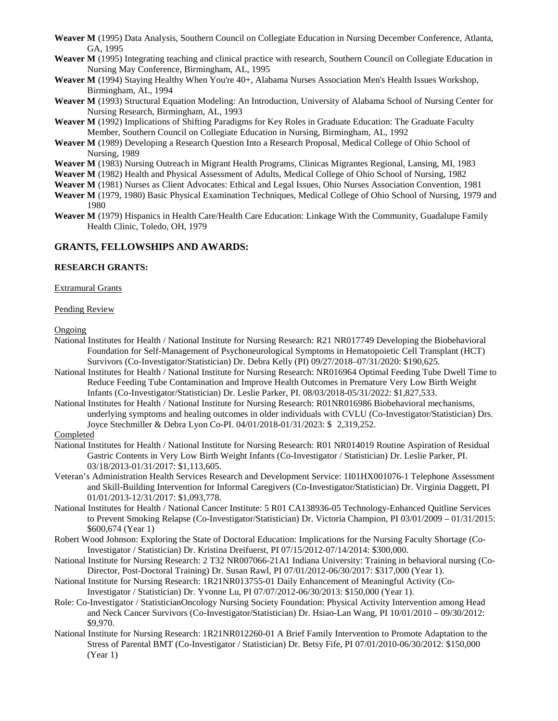- **Weaver M** (1995) Data Analysis, Southern Council on Collegiate Education in Nursing December Conference, Atlanta, GA, 1995
- **Weaver M** (1995) Integrating teaching and clinical practice with research, Southern Council on Collegiate Education in Nursing May Conference, Birmingham, AL, 1995
- Weaver M (1994) Staying Healthy When You're 40+, Alabama Nurses Association Men's Health Issues Workshop, Birmingham, AL, 1994
- **Weaver M** (1993) Structural Equation Modeling: An Introduction, University of Alabama School of Nursing Center for Nursing Research, Birmingham, AL, 1993
- **Weaver M** (1992) Implications of Shifting Paradigms for Key Roles in Graduate Education: The Graduate Faculty Member, Southern Council on Collegiate Education in Nursing, Birmingham, AL, 1992
- **Weaver M** (1989) Developing a Research Question Into a Research Proposal, Medical College of Ohio School of Nursing, 1989
- **Weaver M** (1983) Nursing Outreach in Migrant Health Programs, Clinicas Migrantes Regional, Lansing, MI, 1983
- **Weaver M** (1982) Health and Physical Assessment of Adults, Medical College of Ohio School of Nursing, 1982
- **Weaver M** (1981) Nurses as Client Advocates: Ethical and Legal Issues, Ohio Nurses Association Convention, 1981
- **Weaver M** (1979, 1980) Basic Physical Examination Techniques, Medical College of Ohio School of Nursing, 1979 and 1980
- **Weaver M** (1979) Hispanics in Health Care/Health Care Education: Linkage With the Community, Guadalupe Family Health Clinic, Toledo, OH, 1979

#### **GRANTS, FELLOWSHIPS AND AWARDS:**

#### **RESEARCH GRANTS:**

Extramural Grants

#### Pending Review

**Ongoing** 

- National Institutes for Health / National Institute for Nursing Research: R21 NR017749 Developing the Biobehavioral Foundation for Self-Management of Psychoneurological Symptoms in Hematopoietic Cell Transplant (HCT) Survivors (Co-Investigator/Statistician) Dr. Debra Kelly (PI) 09/27/2018–07/31/2020: \$190,625.
- National Institutes for Health / National Institute for Nursing Research: NR016964 Optimal Feeding Tube Dwell Time to Reduce Feeding Tube Contamination and Improve Health Outcomes in Premature Very Low Birth Weight Infants (Co-Investigator/Statistician) Dr. Leslie Parker, PI. 08/03/2018-05/31/2022: \$1,827,533.
- National Institutes for Health / National Institute for Nursing Research: R01NR016986 Biobehavioral mechanisms, underlying symptoms and healing outcomes in older individuals with CVLU (Co-Investigator/Statistician) Drs. Joyce Stechmiller & Debra Lyon Co-PI. 04/01/2018-01/31/2023: \$ 2,319,252.

## Completed

- National Institutes for Health / National Institute for Nursing Research: R01 NR014019 Routine Aspiration of Residual Gastric Contents in Very Low Birth Weight Infants (Co-Investigator / Statistician) Dr. Leslie Parker, PI. 03/18/2013-01/31/2017: \$1,113,605.
- Veteran's Administration Health Services Research and Development Service: 1I01HX001076-1 Telephone Assessment and Skill-Building Intervention for Informal Caregivers (Co-Investigator/Statistician) Dr. Virginia Daggett, PI 01/01/2013-12/31/2017: \$1,093,778.
- National Institutes for Health / National Cancer Institute: 5 R01 CA138936-05 Technology-Enhanced Quitline Services to Prevent Smoking Relapse (Co-Investigator/Statistician) Dr. Victoria Champion, PI 03/01/2009 – 01/31/2015: \$600,674 (Year 1)
- Robert Wood Johnson: Exploring the State of Doctoral Education: Implications for the Nursing Faculty Shortage (Co-Investigator / Statistician) Dr. Kristina Dreifuerst, PI 07/15/2012-07/14/2014: \$300,000.
- National Institute for Nursing Research: 2 T32 NR007066-21A1 Indiana University: Training in behavioral nursing (Co-Director, Post-Doctoral Training) Dr. Susan Rawl, PI 07/01/2012-06/30/2017: \$317,000 (Year 1).
- National Institute for Nursing Research: 1R21NR013755-01 Daily Enhancement of Meaningful Activity (Co-Investigator / Statistician) Dr. Yvonne Lu, PI 07/07/2012-06/30/2013: \$150,000 (Year 1).
- Role: Co-Investigator / StatisticianOncology Nursing Society Foundation: Physical Activity Intervention among Head and Neck Cancer Survivors (Co-Investigator/Statistician) Dr. Hsiao-Lan Wang, PI 10/01/2010 – 09/30/2012: \$9,970.
- National Institute for Nursing Research: 1R21NR012260-01 A Brief Family Intervention to Promote Adaptation to the Stress of Parental BMT (Co-Investigator / Statistician) Dr. Betsy Fife, PI 07/01/2010-06/30/2012: \$150,000 (Year 1)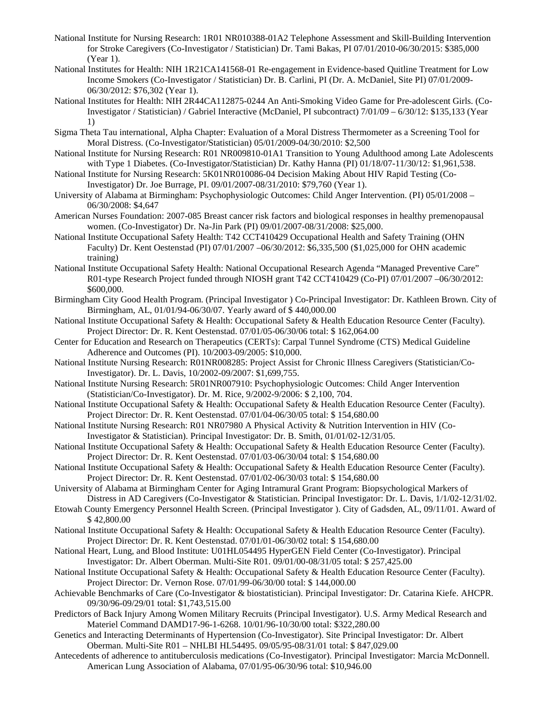- National Institute for Nursing Research: 1R01 NR010388-01A2 Telephone Assessment and Skill-Building Intervention for Stroke Caregivers (Co-Investigator / Statistician) Dr. Tami Bakas, PI 07/01/2010-06/30/2015: \$385,000 (Year 1).
- National Institutes for Health: NIH 1R21CA141568-01 Re-engagement in Evidence-based Quitline Treatment for Low Income Smokers (Co-Investigator / Statistician) Dr. B. Carlini, PI (Dr. A. McDaniel, Site PI) 07/01/2009- 06/30/2012: \$76,302 (Year 1).
- National Institutes for Health: NIH 2R44CA112875-0244 An Anti-Smoking Video Game for Pre-adolescent Girls. (Co-Investigator / Statistician) / Gabriel Interactive (McDaniel, PI subcontract) 7/01/09 – 6/30/12: \$135,133 (Year 1)
- Sigma Theta Tau international, Alpha Chapter: Evaluation of a Moral Distress Thermometer as a Screening Tool for Moral Distress. (Co-Investigator/Statistician) 05/01/2009-04/30/2010: \$2,500
- National Institute for Nursing Research: R01 NR009810-01A1 Transition to Young Adulthood among Late Adolescents with Type 1 Diabetes. (Co-Investigator/Statistician) Dr. Kathy Hanna (PI) 01/18/07-11/30/12: \$1,961,538.
- National Institute for Nursing Research: 5K01NR010086-04 Decision Making About HIV Rapid Testing (Co-Investigator) Dr. Joe Burrage, PI. 09/01/2007-08/31/2010: \$79,760 (Year 1).
- University of Alabama at Birmingham: Psychophysiologic Outcomes: Child Anger Intervention. (PI) 05/01/2008 06/30/2008: \$4,647
- American Nurses Foundation: 2007-085 Breast cancer risk factors and biological responses in healthy premenopausal women. (Co-Investigator) Dr. Na-Jin Park (PI) 09/01/2007-08/31/2008: \$25,000.
- National Institute Occupational Safety Health: T42 CCT410429 Occupational Health and Safety Training (OHN Faculty) Dr. Kent Oestenstad (PI) 07/01/2007 –06/30/2012: \$6,335,500 (\$1,025,000 for OHN academic training)
- National Institute Occupational Safety Health: National Occupational Research Agenda "Managed Preventive Care" R01-type Research Project funded through NIOSH grant T42 CCT410429 (Co-PI) 07/01/2007 –06/30/2012: \$600,000.
- Birmingham City Good Health Program. (Principal Investigator ) Co-Principal Investigator: Dr. Kathleen Brown. City of Birmingham, AL, 01/01/94-06/30/07. Yearly award of \$ 440,000.00
- National Institute Occupational Safety & Health: Occupational Safety & Health Education Resource Center (Faculty). Project Director: Dr. R. Kent Oestenstad. 07/01/05-06/30/06 total: \$ 162,064.00
- Center for Education and Research on Therapeutics (CERTs): Carpal Tunnel Syndrome (CTS) Medical Guideline Adherence and Outcomes (PI). 10/2003-09/2005: \$10,000.
- National Institute Nursing Research: R01NR008285: Project Assist for Chronic Illness Caregivers (Statistician/Co-Investigator). Dr. L. Davis, 10/2002-09/2007: \$1,699,755.
- National Institute Nursing Research: 5R01NR007910: Psychophysiologic Outcomes: Child Anger Intervention (Statistician/Co-Investigator). Dr. M. Rice, 9/2002-9/2006: \$ 2,100, 704.
- National Institute Occupational Safety & Health: Occupational Safety & Health Education Resource Center (Faculty). Project Director: Dr. R. Kent Oestenstad. 07/01/04-06/30/05 total: \$ 154,680.00
- National Institute Nursing Research: R01 NR07980 A Physical Activity & Nutrition Intervention in HIV (Co-Investigator & Statistician). Principal Investigator: Dr. B. Smith, 01/01/02-12/31/05.
- National Institute Occupational Safety & Health: Occupational Safety & Health Education Resource Center (Faculty). Project Director: Dr. R. Kent Oestenstad. 07/01/03-06/30/04 total: \$ 154,680.00
- National Institute Occupational Safety & Health: Occupational Safety & Health Education Resource Center (Faculty). Project Director: Dr. R. Kent Oestenstad. 07/01/02-06/30/03 total: \$ 154,680.00
- University of Alabama at Birmingham Center for Aging Intramural Grant Program: Biopsychological Markers of Distress in AD Caregivers (Co-Investigator & Statistician. Principal Investigator: Dr. L. Davis, 1/1/02-12/31/02.
- Etowah County Emergency Personnel Health Screen. (Principal Investigator ). City of Gadsden, AL, 09/11/01. Award of \$ 42,800.00
- National Institute Occupational Safety & Health: Occupational Safety & Health Education Resource Center (Faculty). Project Director: Dr. R. Kent Oestenstad. 07/01/01-06/30/02 total: \$ 154,680.00
- National Heart, Lung, and Blood Institute: U01HL054495 HyperGEN Field Center (Co-Investigator). Principal Investigator: Dr. Albert Oberman. Multi-Site R01. 09/01/00-08/31/05 total: \$ 257,425.00
- National Institute Occupational Safety & Health: Occupational Safety & Health Education Resource Center (Faculty). Project Director: Dr. Vernon Rose. 07/01/99-06/30/00 total: \$ 144,000.00
- Achievable Benchmarks of Care (Co-Investigator & biostatistician). Principal Investigator: Dr. Catarina Kiefe. AHCPR. 09/30/96-09/29/01 total: \$1,743,515.00
- Predictors of Back Injury Among Women Military Recruits (Principal Investigator). U.S. Army Medical Research and Materiel Command DAMD17-96-1-6268. 10/01/96-10/30/00 total: \$322,280.00
- Genetics and Interacting Determinants of Hypertension (Co-Investigator). Site Principal Investigator: Dr. Albert Oberman. Multi-Site R01 – NHLBI HL54495. 09/05/95-08/31/01 total: \$ 847,029.00
- Antecedents of adherence to antituberculosis medications (Co-Investigator). Principal Investigator: Marcia McDonnell. American Lung Association of Alabama, 07/01/95-06/30/96 total: \$10,946.00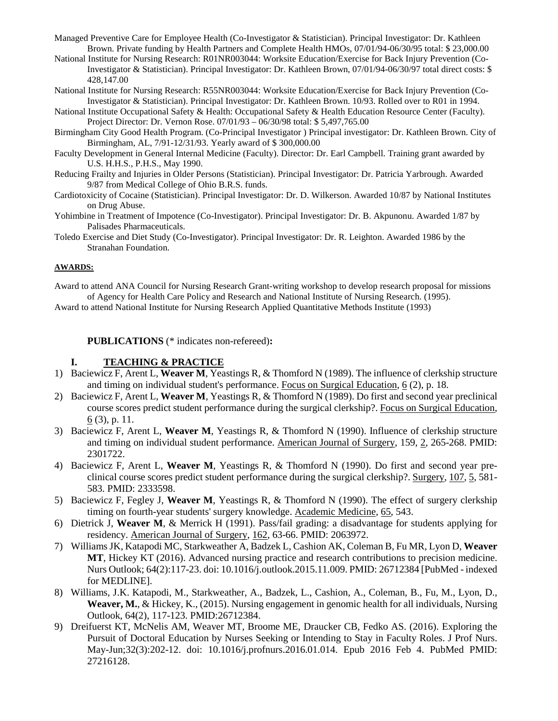- Managed Preventive Care for Employee Health (Co-Investigator & Statistician). Principal Investigator: Dr. Kathleen Brown. Private funding by Health Partners and Complete Health HMOs, 07/01/94-06/30/95 total: \$ 23,000.00
- National Institute for Nursing Research: R01NR003044: Worksite Education/Exercise for Back Injury Prevention (Co-Investigator & Statistician). Principal Investigator: Dr. Kathleen Brown, 07/01/94-06/30/97 total direct costs: \$ 428,147.00
- National Institute for Nursing Research: R55NR003044: Worksite Education/Exercise for Back Injury Prevention (Co-Investigator & Statistician). Principal Investigator: Dr. Kathleen Brown. 10/93. Rolled over to R01 in 1994.
- National Institute Occupational Safety & Health: Occupational Safety & Health Education Resource Center (Faculty). Project Director: Dr. Vernon Rose. 07/01/93 – 06/30/98 total: \$ 5,497,765.00
- Birmingham City Good Health Program. (Co-Principal Investigator ) Principal investigator: Dr. Kathleen Brown. City of Birmingham, AL, 7/91-12/31/93. Yearly award of \$ 300,000.00
- Faculty Development in General Internal Medicine (Faculty). Director: Dr. Earl Campbell. Training grant awarded by U.S. H.H.S., P.H.S., May 1990.
- Reducing Frailty and Injuries in Older Persons (Statistician). Principal Investigator: Dr. Patricia Yarbrough. Awarded 9/87 from Medical College of Ohio B.R.S. funds.
- Cardiotoxicity of Cocaine (Statistician). Principal Investigator: Dr. D. Wilkerson. Awarded 10/87 by National Institutes on Drug Abuse.
- Yohimbine in Treatment of Impotence (Co-Investigator). Principal Investigator: Dr. B. Akpunonu. Awarded 1/87 by Palisades Pharmaceuticals.
- Toledo Exercise and Diet Study (Co-Investigator). Principal Investigator: Dr. R. Leighton. Awarded 1986 by the Stranahan Foundation.

## **AWARDS:**

Award to attend ANA Council for Nursing Research Grant-writing workshop to develop research proposal for missions of Agency for Health Care Policy and Research and National Institute of Nursing Research. (1995).

Award to attend National Institute for Nursing Research Applied Quantitative Methods Institute (1993)

**PUBLICATIONS** (\* indicates non-refereed)**:**

# **I. TEACHING & PRACTICE**

- 1) Baciewicz F, Arent L, **Weaver M**, Yeastings R, & Thomford N (1989). The influence of clerkship structure and timing on individual student's performance. Focus on Surgical Education, 6 (2), p. 18.
- 2) Baciewicz F, Arent L, **Weaver M**, Yeastings R, & Thomford N (1989). Do first and second year preclinical course scores predict student performance during the surgical clerkship?. Focus on Surgical Education, 6 (3), p. 11.
- 3) Baciewicz F, Arent L, **Weaver M**, Yeastings R, & Thomford N (1990). Influence of clerkship structure and timing on individual student performance. American Journal of Surgery, 159, 2, 265-268. PMID: 2301722.
- 4) Baciewicz F, Arent L, **Weaver M**, Yeastings R, & Thomford N (1990). Do first and second year preclinical course scores predict student performance during the surgical clerkship?. Surgery, 107, 5, 581- 583. PMID: 2333598.
- 5) Baciewicz F, Fegley J, **Weaver M**, Yeastings R, & Thomford N (1990). The effect of surgery clerkship timing on fourth-year students' surgery knowledge. Academic Medicine, 65, 543.
- 6) Dietrick J, **Weaver M**, & Merrick H (1991). Pass/fail grading: a disadvantage for students applying for residency. American Journal of Surgery, 162, 63-66. PMID: 2063972.
- 7) Williams JK, Katapodi MC, Starkweather A, Badzek L, Cashion AK, Coleman B, Fu MR, Lyon D, **Weaver MT**, Hickey KT (2016). Advanced nursing practice and research contributions to precision medicine. Nurs Outlook; 64(2):117-23. doi: 10.1016/j.outlook.2015.11.009. PMID: 26712384 [PubMed - indexed for MEDLINE].
- 8) Williams, J.K. Katapodi, M., Starkweather, A., Badzek, L., Cashion, A., Coleman, B., Fu, M., Lyon, D., **Weaver, M.**, & Hickey, K., (2015). Nursing engagement in genomic health for all individuals, Nursing Outlook, 64(2), 117-123. PMID:26712384.
- 9) Dreifuerst KT, McNelis AM, Weaver MT, Broome ME, Draucker CB, Fedko AS. (2016). Exploring the Pursuit of Doctoral Education by Nurses Seeking or Intending to Stay in Faculty Roles. J Prof Nurs. May-Jun;32(3):202-12. doi: 10.1016/j.profnurs.2016.01.014. Epub 2016 Feb 4. PubMed PMID: 27216128.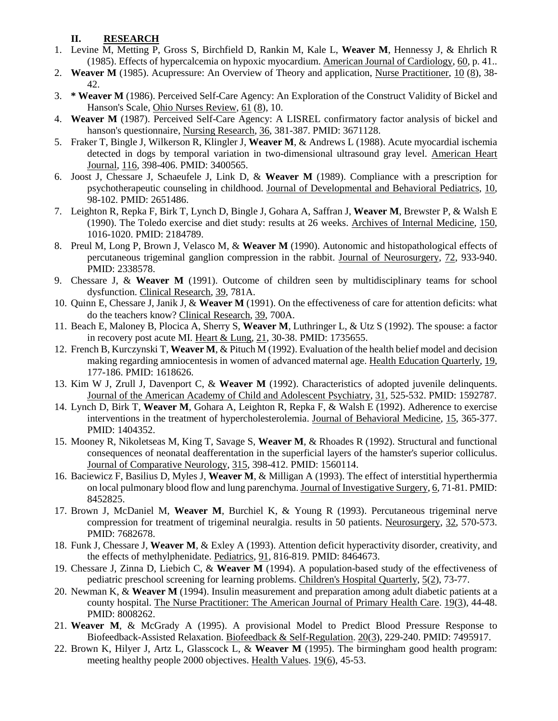# **II. RESEARCH**

- 1. Levine M, Metting P, Gross S, Birchfield D, Rankin M, Kale L, **Weaver M**, Hennessy J, & Ehrlich R (1985). Effects of hypercalcemia on hypoxic myocardium. American Journal of Cardiology, 60, p. 41..
- 2. **Weaver M** (1985). Acupressure: An Overview of Theory and application, Nurse Practitioner, 10 (8), 38- 42.
- 3. **\* Weaver M** (1986). Perceived Self-Care Agency: An Exploration of the Construct Validity of Bickel and Hanson's Scale, Ohio Nurses Review, 61 (8), 10.
- 4. **Weaver M** (1987). Perceived Self-Care Agency: A LISREL confirmatory factor analysis of bickel and hanson's questionnaire, Nursing Research, 36, 381-387. PMID: 3671128.
- 5. Fraker T, Bingle J, Wilkerson R, Klingler J, **Weaver M**, & Andrews L (1988). Acute myocardial ischemia detected in dogs by temporal variation in two-dimensional ultrasound gray level. American Heart Journal, 116, 398-406. PMID: 3400565.
- 6. Joost J, Chessare J, Schaeufele J, Link D, & **Weaver M** (1989). Compliance with a prescription for psychotherapeutic counseling in childhood. Journal of Developmental and Behavioral Pediatrics, 10, 98-102. PMID: 2651486.
- 7. Leighton R, Repka F, Birk T, Lynch D, Bingle J, Gohara A, Saffran J, **Weaver M**, Brewster P, & Walsh E (1990). The Toledo exercise and diet study: results at 26 weeks. Archives of Internal Medicine, 150, 1016-1020. PMID: 2184789.
- 8. Preul M, Long P, Brown J, Velasco M, & **Weaver M** (1990). Autonomic and histopathological effects of percutaneous trigeminal ganglion compression in the rabbit. Journal of Neurosurgery, 72, 933-940. PMID: 2338578.
- 9. Chessare J, & **Weaver M** (1991). Outcome of children seen by multidisciplinary teams for school dysfunction. Clinical Research, 39, 781A.
- 10. Quinn E, Chessare J, Janik J, & **Weaver M** (1991). On the effectiveness of care for attention deficits: what do the teachers know? Clinical Research, 39, 700A.
- 11. Beach E, Maloney B, Plocica A, Sherry S, **Weaver M**, Luthringer L, & Utz S (1992). The spouse: a factor in recovery post acute MI. Heart & Lung, 21, 30-38. PMID: 1735655.
- 12. French B, Kurczynski T, **Weaver M**, & Pituch M (1992). Evaluation of the health belief model and decision making regarding amniocentesis in women of advanced maternal age. Health Education Quarterly, 19, 177-186. PMID: 1618626.
- 13. Kim W J, Zrull J, Davenport C, & **Weaver M** (1992). Characteristics of adopted juvenile delinquents. Journal of the American Academy of Child and Adolescent Psychiatry, 31, 525-532. PMID: 1592787.
- 14. Lynch D, Birk T, **Weaver M**, Gohara A, Leighton R, Repka F, & Walsh E (1992). Adherence to exercise interventions in the treatment of hypercholesterolemia. Journal of Behavioral Medicine, 15, 365-377. PMID: 1404352.
- 15. Mooney R, Nikoletseas M, King T, Savage S, **Weaver M**, & Rhoades R (1992). Structural and functional consequences of neonatal deafferentation in the superficial layers of the hamster's superior colliculus. Journal of Comparative Neurology, 315, 398-412. PMID: 1560114.
- 16. Baciewicz F, Basilius D, Myles J, **Weaver M**, & Milligan A (1993). The effect of interstitial hyperthermia on local pulmonary blood flow and lung parenchyma. Journal of Investigative Surgery, 6, 71-81. PMID: 8452825.
- 17. Brown J, McDaniel M, **Weaver M**, Burchiel K, & Young R (1993). Percutaneous trigeminal nerve compression for treatment of trigeminal neuralgia. results in 50 patients. Neurosurgery, 32, 570-573. PMID: 7682678.
- 18. Funk J, Chessare J, **Weaver M**, & Exley A (1993). Attention deficit hyperactivity disorder, creativity, and the effects of methylphenidate. Pediatrics, 91, 816-819. PMID: 8464673.
- 19. Chessare J, Zinna D, Liebich C, & **Weaver M** (1994). A population-based study of the effectiveness of pediatric preschool screening for learning problems. Children's Hospital Quarterly, 5(2), 73-77.
- 20. Newman K, & **Weaver M** (1994). Insulin measurement and preparation among adult diabetic patients at a county hospital. The Nurse Practitioner: The American Journal of Primary Health Care. 19(3), 44-48. PMID: 8008262.
- 21. **Weaver M**, & McGrady A (1995). A provisional Model to Predict Blood Pressure Response to Biofeedback-Assisted Relaxation. Biofeedback & Self-Regulation. 20(3), 229-240. PMID: 7495917.
- 22. Brown K, Hilyer J, Artz L, Glasscock L, & **Weaver M** (1995). The birmingham good health program: meeting healthy people 2000 objectives. Health Values. 19(6), 45-53.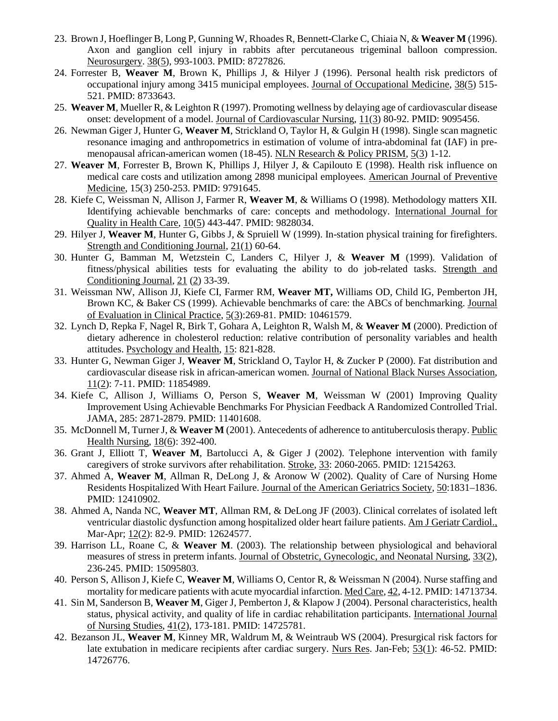- 23. Brown J, Hoeflinger B, Long P, Gunning W, Rhoades R, Bennett-Clarke C, Chiaia N, & **Weaver M** (1996). Axon and ganglion cell injury in rabbits after percutaneous trigeminal balloon compression. Neurosurgery. 38(5), 993-1003. PMID: 8727826.
- 24. Forrester B, **Weaver M**, Brown K, Phillips J, & Hilyer J (1996). Personal health risk predictors of occupational injury among 3415 municipal employees. Journal of Occupational Medicine, 38(5) 515-521. PMID: 8733643.
- 25. **Weaver M**, Mueller R, & Leighton R (1997). Promoting wellness by delaying age of cardiovascular disease onset: development of a model. Journal of Cardiovascular Nursing, 11(3) 80-92. PMID: 9095456.
- 26. Newman Giger J, Hunter G, **Weaver M**, Strickland O, Taylor H, & Gulgin H (1998). Single scan magnetic resonance imaging and anthropometrics in estimation of volume of intra-abdominal fat (IAF) in premenopausal african-american women (18-45). NLN Research & Policy PRISM, 5(3) 1-12.
- 27. **Weaver M**, Forrester B, Brown K, Phillips J, Hilyer J, & Capilouto E (1998). Health risk influence on medical care costs and utilization among 2898 municipal employees. American Journal of Preventive Medicine, 15(3) 250-253. PMID: 9791645.
- 28. Kiefe C, Weissman N, Allison J, Farmer R, **Weaver M**, & Williams O (1998). Methodology matters XII. Identifying achievable benchmarks of care: concepts and methodology. International Journal for Quality in Health Care, 10(5) 443-447. PMID: 9828034.
- 29. Hilyer J, **Weaver M**, Hunter G, Gibbs J, & Spruiell W (1999). In-station physical training for firefighters. Strength and Conditioning Journal, 21(1) 60-64.
- 30. Hunter G, Bamman M, Wetzstein C, Landers C, Hilyer J, & **Weaver M** (1999). Validation of fitness/physical abilities tests for evaluating the ability to do job-related tasks. Strength and Conditioning Journal, 21 (2) 33-39.
- 31. Weissman NW, Allison JJ, Kiefe CI, Farmer RM, **Weaver MT,** Williams OD, Child IG, Pemberton JH, Brown KC, & Baker CS (1999). Achievable benchmarks of care: the ABCs of benchmarking. Journal of Evaluation in Clinical Practice, 5(3):269-81. PMID: 10461579.
- 32. Lynch D, Repka F, Nagel R, Birk T, Gohara A, Leighton R, Walsh M, & **Weaver M** (2000). Prediction of dietary adherence in cholesterol reduction: relative contribution of personality variables and health attitudes. Psychology and Health, 15: 821-828.
- 33. Hunter G, Newman Giger J, **Weaver M**, Strickland O, Taylor H, & Zucker P (2000). Fat distribution and cardiovascular disease risk in african-american women. Journal of National Black Nurses Association, 11(2): 7-11. PMID: 11854989.
- 34. Kiefe C, Allison J, Williams O, Person S, **Weaver M**, Weissman W (2001) Improving Quality Improvement Using Achievable Benchmarks For Physician Feedback A Randomized Controlled Trial. JAMA, 285: 2871-2879. PMID: 11401608.
- 35. McDonnell M, TurnerJ, & **Weaver M** (2001). Antecedents of adherence to antituberculosis therapy. Public Health Nursing, 18(6): 392-400.
- 36. Grant J, Elliott T, **Weaver M**, Bartolucci A, & Giger J (2002). Telephone intervention with family caregivers of stroke survivors after rehabilitation. Stroke, 33: 2060-2065. PMID: 12154263.
- 37. Ahmed A, **Weaver M**, Allman R, DeLong J, & Aronow W (2002). Quality of Care of Nursing Home Residents Hospitalized With Heart Failure. Journal of the American Geriatrics Society, 50:1831–1836. PMID: 12410902.
- 38. Ahmed A, Nanda NC, **Weaver MT**, Allman RM, & DeLong JF (2003). Clinical correlates of isolated left ventricular diastolic dysfunction among hospitalized older heart failure patients. Am J Geriatr Cardiol., Mar-Apr; 12(2): 82-9. PMID: 12624577.
- 39. Harrison LL, Roane C, & **Weaver M**. (2003). The relationship between physiological and behavioral measures of stress in preterm infants. Journal of Obstetric, Gynecologic, and Neonatal Nursing, 33(2), 236-245. PMID: 15095803.
- 40. Person S, Allison J, Kiefe C, **Weaver M**, Williams O, Centor R, & Weissman N (2004). Nurse staffing and mortality for medicare patients with acute myocardial infarction. Med Care, 42, 4-12. PMID: 14713734.
- 41. Sin M, Sanderson B, **Weaver M**, Giger J, Pemberton J, & Klapow J (2004). Personal characteristics, health status, physical activity, and quality of life in cardiac rehabilitation participants. International Journal of Nursing Studies, 41(2), 173-181. PMID: 14725781.
- 42. Bezanson JL, **Weaver M**, Kinney MR, Waldrum M, & Weintraub WS (2004). Presurgical risk factors for late extubation in medicare recipients after cardiac surgery. Nurs Res. Jan-Feb; 53(1): 46-52. PMID: 14726776.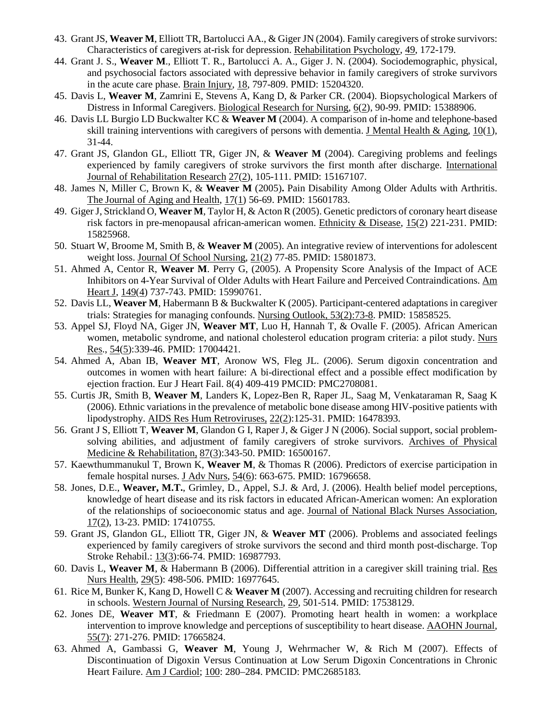- 43. Grant JS, **Weaver M**, Elliott TR, Bartolucci AA., & Giger JN (2004). Family caregivers of stroke survivors: Characteristics of caregivers at-risk for depression. Rehabilitation Psychology, 49, 172-179.
- 44. Grant J. S., **Weaver M**., Elliott T. R., Bartolucci A. A., Giger J. N. (2004). Sociodemographic, physical, and psychosocial factors associated with depressive behavior in family caregivers of stroke survivors in the acute care phase. Brain Injury, 18, 797-809. PMID: 15204320.
- 45. Davis L, **Weaver M**, Zamrini E, Stevens A, Kang D, & Parker CR. (2004). Biopsychological Markers of Distress in Informal Caregivers. Biological Research for Nursing, 6(2), 90-99. PMID: 15388906.
- 46. Davis LL Burgio LD Buckwalter KC & **Weaver M** (2004). A comparison of in-home and telephone-based skill training interventions with caregivers of persons with dementia. J Mental Health & Aging,  $10(1)$ , 31-44.
- 47. Grant JS, Glandon GL, Elliott TR, Giger JN, & **Weaver M** (2004). Caregiving problems and feelings experienced by family caregivers of stroke survivors the first month after discharge. International Journal of Rehabilitation Research 27(2), 105-111. PMID: 15167107.
- 48. James N, Miller C, Brown K, & **Weaver M** (2005)**.** Pain Disability Among Older Adults with Arthritis. The Journal of Aging and Health, 17(1) 56-69. PMID: 15601783.
- 49. Giger J, Strickland O, **Weaver M**, Taylor H, & Acton R (2005). Genetic predictors of coronary heart disease risk factors in pre-menopausal african-american women. Ethnicity & Disease, 15(2) 221-231. PMID: 15825968.
- 50. Stuart W, Broome M, Smith B, & **Weaver M** (2005). An integrative review of interventions for adolescent weight loss. Journal Of School Nursing, 21(2) 77-85. PMID: 15801873.
- 51. Ahmed A, Centor R, **Weaver M**. Perry G, (2005). A Propensity Score Analysis of the Impact of ACE Inhibitors on 4-Year Survival of Older Adults with Heart Failure and Perceived Contraindications. Am Heart J, 149(4) 737-743. PMID: 15990761.
- 52. Davis LL, **Weaver M**, Habermann B & Buckwalter K (2005). Participant-centered adaptations in caregiver trials: Strategies for managing confounds. Nursing Outlook, 53(2):73-8. PMID: 15858525.
- 53. Appel SJ, Floyd NA, Giger JN, **Weaver MT**, Luo H, Hannah T, & Ovalle F. (2005). African American women, metabolic syndrome, and national cholesterol education program criteria: a pilot study. Nurs Res., 54(5):339-46. PMID: 17004421.
- 54. Ahmed A, Aban IB, **Weaver MT**, Aronow WS, Fleg JL. (2006). Serum digoxin concentration and outcomes in women with heart failure: A bi-directional effect and a possible effect modification by ejection fraction. Eur J Heart Fail. 8(4) 409-419 PMCID: PMC2708081.
- 55. Curtis JR, Smith B, **Weaver M**, Landers K, Lopez-Ben R, Raper JL, Saag M, Venkataraman R, Saag K (2006). Ethnic variations in the prevalence of metabolic bone disease among HIV-positive patients with lipodystrophy. AIDS Res Hum Retroviruses, 22(2):125-31. PMID: 16478393.
- 56. Grant J S, Elliott T, **Weaver M**, Glandon G I, Raper J, & Giger J N (2006). Social support, social problemsolving abilities, and adjustment of family caregivers of stroke survivors. Archives of Physical Medicine & Rehabilitation, 87(3):343-50. PMID: 16500167.
- 57. Kaewthummanukul T, Brown K, **Weaver M**, & Thomas R (2006). Predictors of exercise participation in female hospital nurses. J Adv Nurs, 54(6): 663-675. PMID: 16796658.
- 58. Jones, D.E., **Weaver, M.T.**, Grimley, D., Appel, S.J. & Ard, J. (2006). Health belief model perceptions, knowledge of heart disease and its risk factors in educated African-American women: An exploration of the relationships of socioeconomic status and age. Journal of National Black Nurses Association, 17(2), 13-23. PMID: 17410755.
- 59. Grant JS, Glandon GL, Elliott TR, Giger JN, & **Weaver MT** (2006). Problems and associated feelings experienced by family caregivers of stroke survivors the second and third month post-discharge. Top Stroke Rehabil.: 13(3):66-74. PMID: 16987793.
- 60. Davis L, **Weaver M**, & Habermann B (2006). Differential attrition in a caregiver skill training trial. Res Nurs Health, 29(5): 498-506. PMID: 16977645.
- 61. Rice M, Bunker K, Kang D, Howell C & **Weaver M** (2007). Accessing and recruiting children for research in schools. Western Journal of Nursing Research, 29, 501-514. PMID: 17538129.
- 62. Jones DE, **Weaver MT**, & Friedmann E (2007). Promoting heart health in women: a workplace intervention to improve knowledge and perceptions of susceptibility to heart disease. AAOHN Journal, 55(7): 271-276. PMID: 17665824.
- 63. Ahmed A, Gambassi G, **Weaver M**, Young J, Wehrmacher W, & Rich M (2007). Effects of Discontinuation of Digoxin Versus Continuation at Low Serum Digoxin Concentrations in Chronic Heart Failure. Am J Cardiol; 100: 280–284. PMCID: PMC2685183.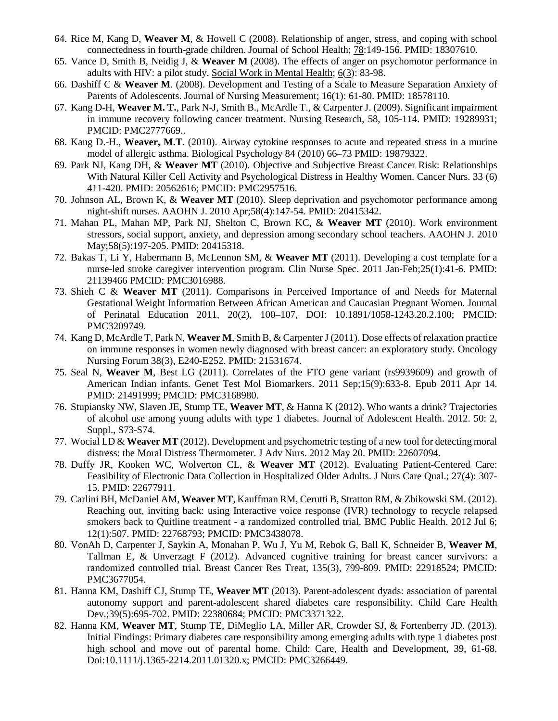- 64. Rice M, Kang D, **Weaver M**, & Howell C (2008). Relationship of anger, stress, and coping with school connectedness in fourth-grade children. Journal of School Health; 78:149-156. PMID: 18307610.
- 65. Vance D, Smith B, Neidig J, & **Weaver M** (2008). The effects of anger on psychomotor performance in adults with HIV: a pilot study. Social Work in Mental Health; 6(3): 83-98.
- 66. Dashiff C & **Weaver M**. (2008). Development and Testing of a Scale to Measure Separation Anxiety of Parents of Adolescents. Journal of Nursing Measurement; 16(1): 61-80. PMID: 18578110.
- 67. Kang D-H, **Weaver M. T.**, Park N-J, Smith B., McArdle T., & Carpenter J. (2009). Significant impairment in immune recovery following cancer treatment. Nursing Research, 58, 105-114. PMID: 19289931; PMCID: PMC2777669..
- 68. Kang D.-H., **Weaver, M.T.** (2010). Airway cytokine responses to acute and repeated stress in a murine model of allergic asthma. Biological Psychology 84 (2010) 66–73 PMID: 19879322.
- 69. Park NJ, Kang DH, & **Weaver MT** (2010). Objective and Subjective Breast Cancer Risk: Relationships With Natural Killer Cell Activity and Psychological Distress in Healthy Women. Cancer Nurs. 33 (6) 411-420. PMID: 20562616; PMCID: PMC2957516.
- 70. Johnson AL, Brown K, & **Weaver MT** (2010). Sleep deprivation and psychomotor performance among night-shift nurses. AAOHN J. 2010 Apr;58(4):147-54. PMID: 20415342.
- 71. Mahan PL, Mahan MP, Park NJ, Shelton C, Brown KC, & **Weaver MT** (2010). Work environment stressors, social support, anxiety, and depression among secondary school teachers. AAOHN J. 2010 May;58(5):197-205. PMID: 20415318.
- 72. Bakas T, Li Y, Habermann B, McLennon SM, & **Weaver MT** (2011). Developing a cost template for a nurse-led stroke caregiver intervention program. Clin Nurse Spec. 2011 Jan-Feb;25(1):41-6. PMID: 21139466 PMCID: PMC3016988.
- 73. Shieh C & **Weaver MT** (2011). Comparisons in Perceived Importance of and Needs for Maternal Gestational Weight Information Between African American and Caucasian Pregnant Women. Journal of Perinatal Education 2011, 20(2), 100–107, DOI: 10.1891/1058-1243.20.2.100; PMCID: PMC3209749.
- 74. Kang D, McArdle T, Park N, **Weaver M**, Smith B, & Carpenter J (2011). Dose effects of relaxation practice on immune responses in women newly diagnosed with breast cancer: an exploratory study. Oncology Nursing Forum 38(3), E240-E252. PMID: 21531674.
- 75. Seal N, **Weaver M**, Best LG (2011). Correlates of the FTO gene variant (rs9939609) and growth of American Indian infants. Genet Test Mol Biomarkers. 2011 Sep;15(9):633-8. Epub 2011 Apr 14. PMID: 21491999; PMCID: PMC3168980.
- 76. Stupiansky NW, Slaven JE, Stump TE, **Weaver MT**, & Hanna K (2012). Who wants a drink? Trajectories of alcohol use among young adults with type 1 diabetes. Journal of Adolescent Health. 2012. 50: 2, Suppl., S73-S74.
- 77. Wocial LD & **Weaver MT** (2012). Development and psychometric testing of a new tool for detecting moral distress: the Moral Distress Thermometer. J Adv Nurs. 2012 May 20. PMID: 22607094.
- 78. Duffy JR, Kooken WC, Wolverton CL, & **Weaver MT** (2012). Evaluating Patient-Centered Care: Feasibility of Electronic Data Collection in Hospitalized Older Adults. J Nurs Care Qual.; 27(4): 307- 15. PMID: 22677911.
- 79. Carlini BH, McDaniel AM, **Weaver MT**, Kauffman RM, Cerutti B, Stratton RM, & Zbikowski SM. (2012). Reaching out, inviting back: using Interactive voice response (IVR) technology to recycle relapsed smokers back to Quitline treatment - a randomized controlled trial. BMC Public Health. 2012 Jul 6; 12(1):507. PMID: 22768793; PMCID: PMC3438078.
- 80. VonAh D, Carpenter J, Saykin A, Monahan P, Wu J, Yu M, Rebok G, Ball K, Schneider B, **Weaver M**, Tallman E, & Unverzagt F (2012). Advanced cognitive training for breast cancer survivors: a randomized controlled trial. Breast Cancer Res Treat, 135(3), 799-809. PMID: 22918524; PMCID: PMC3677054.
- 81. Hanna KM, Dashiff CJ, Stump TE, **Weaver MT** (2013). Parent-adolescent dyads: association of parental autonomy support and parent-adolescent shared diabetes care responsibility. Child Care Health Dev.;39(5):695-702. PMID: 22380684; PMCID: PMC3371322.
- 82. Hanna KM, **Weaver MT**, Stump TE, DiMeglio LA, Miller AR, Crowder SJ, & Fortenberry JD. (2013). Initial Findings: Primary diabetes care responsibility among emerging adults with type 1 diabetes post high school and move out of parental home. Child: Care, Health and Development, 39, 61-68. Doi:10.1111/j.1365-2214.2011.01320.x; PMCID: PMC3266449.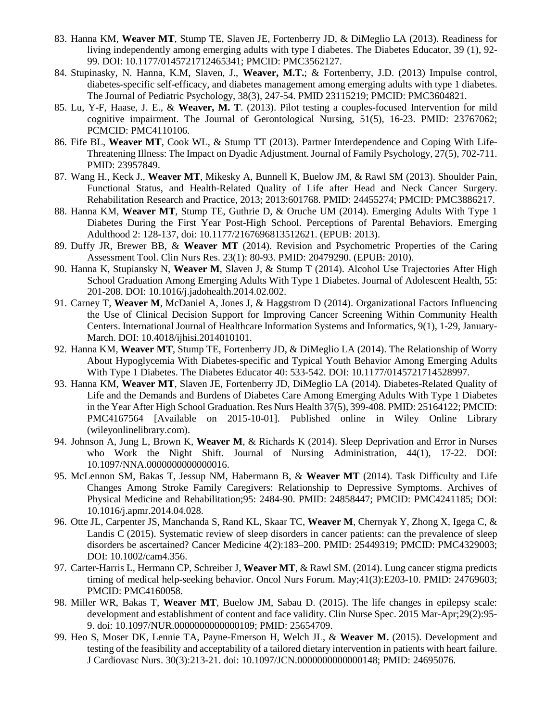- 83. Hanna KM, **Weaver MT**, Stump TE, Slaven JE, Fortenberry JD, & DiMeglio LA (2013). Readiness for living independently among emerging adults with type I diabetes. The Diabetes Educator, 39 (1), 92- 99. DOI: 10.1177/0145721712465341; PMCID: PMC3562127.
- 84. Stupinasky, N. Hanna, K.M, Slaven, J., **Weaver, M.T.**; & Fortenberry, J.D. (2013) Impulse control, diabetes-specific self-efficacy, and diabetes management among emerging adults with type 1 diabetes. The Journal of Pediatric Psychology, 38(3), 247-54. PMID 23115219; PMCID: PMC3604821.
- 85. Lu, Y-F, Haase, J. E., & **Weaver, M. T**. (2013). Pilot testing a couples-focused Intervention for mild cognitive impairment. The Journal of Gerontological Nursing, 51(5), 16-23. PMID: 23767062; PCMCID: PMC4110106.
- 86. Fife BL, **Weaver MT**, Cook WL, & Stump TT (2013). Partner Interdependence and Coping With Life-Threatening Illness: The Impact on Dyadic Adjustment. Journal of Family Psychology, 27(5), 702-711. PMID: 23957849.
- 87. Wang H., Keck J., **Weaver MT**, Mikesky A, Bunnell K, Buelow JM, & Rawl SM (2013). Shoulder Pain, Functional Status, and Health-Related Quality of Life after Head and Neck Cancer Surgery. Rehabilitation Research and Practice, 2013; 2013:601768. PMID: 24455274; PMCID: PMC3886217.
- 88. Hanna KM, **Weaver MT**, Stump TE, Guthrie D, & Oruche UM (2014). Emerging Adults With Type 1 Diabetes During the First Year Post-High School. Perceptions of Parental Behaviors. Emerging Adulthood 2: 128-137, doi: 10.1177/2167696813512621. (EPUB: 2013).
- 89. Duffy JR, Brewer BB, & **Weaver MT** (2014). Revision and Psychometric Properties of the Caring Assessment Tool. Clin Nurs Res. 23(1): 80-93. PMID: 20479290. (EPUB: 2010).
- 90. Hanna K, Stupiansky N, **Weaver M**, Slaven J, & Stump T (2014). Alcohol Use Trajectories After High School Graduation Among Emerging Adults With Type 1 Diabetes. Journal of Adolescent Health, 55: 201-208. DOI: 10.1016/j.jadohealth.2014.02.002.
- 91. Carney T, **Weaver M**, McDaniel A, Jones J, & Haggstrom D (2014). Organizational Factors Influencing the Use of Clinical Decision Support for Improving Cancer Screening Within Community Health Centers. International Journal of Healthcare Information Systems and Informatics, 9(1), 1-29, January-March. DOI: 10.4018/ijhisi.2014010101.
- 92. Hanna KM, **Weaver MT**, Stump TE, Fortenberry JD, & DiMeglio LA (2014). The Relationship of Worry About Hypoglycemia With Diabetes-specific and Typical Youth Behavior Among Emerging Adults With Type 1 Diabetes. The Diabetes Educator 40: 533-542. DOI: 10.1177/0145721714528997.
- 93. Hanna KM, **Weaver MT**, Slaven JE, Fortenberry JD, DiMeglio LA (2014). Diabetes-Related Quality of Life and the Demands and Burdens of Diabetes Care Among Emerging Adults With Type 1 Diabetes in the Year After High School Graduation. Res Nurs Health 37(5), 399-408. PMID: 25164122; PMCID: PMC4167564 [Available on 2015-10-01]. Published online in Wiley Online Library (wileyonlinelibrary.com).
- 94. Johnson A, Jung L, Brown K, **Weaver M**, & Richards K (2014). Sleep Deprivation and Error in Nurses who Work the Night Shift. Journal of Nursing Administration, 44(1), 17-22. DOI: 10.1097/NNA.0000000000000016.
- 95. McLennon SM, Bakas T, Jessup NM, Habermann B, & **Weaver MT** (2014). Task Difficulty and Life Changes Among Stroke Family Caregivers: Relationship to Depressive Symptoms. Archives of Physical Medicine and Rehabilitation;95: 2484-90. PMID: 24858447; PMCID: PMC4241185; DOI: 10.1016/j.apmr.2014.04.028.
- 96. Otte JL, Carpenter JS, Manchanda S, Rand KL, Skaar TC, **Weaver M**, Chernyak Y, Zhong X, Igega C, & Landis C (2015). Systematic review of sleep disorders in cancer patients: can the prevalence of sleep disorders be ascertained? Cancer Medicine 4(2):183–200. PMID: 25449319; PMCID: PMC4329003; DOI: 10.1002/cam4.356.
- 97. Carter-Harris L, Hermann CP, Schreiber J, **Weaver MT**, & Rawl SM. (2014). Lung cancer stigma predicts timing of medical help-seeking behavior. Oncol Nurs Forum. May;41(3):E203-10. PMID: 24769603; PMCID: PMC4160058.
- 98. Miller WR, Bakas T, **Weaver MT**, Buelow JM, Sabau D. (2015). The life changes in epilepsy scale: development and establishment of content and face validity. Clin Nurse Spec. 2015 Mar-Apr;29(2):95- 9. doi: 10.1097/NUR.0000000000000109; PMID: 25654709.
- 99. Heo S, Moser DK, Lennie TA, Payne-Emerson H, Welch JL, & **Weaver M.** (2015). Development and testing of the feasibility and acceptability of a tailored dietary intervention in patients with heart failure. J Cardiovasc Nurs. 30(3):213-21. doi: 10.1097/JCN.0000000000000148; PMID: 24695076.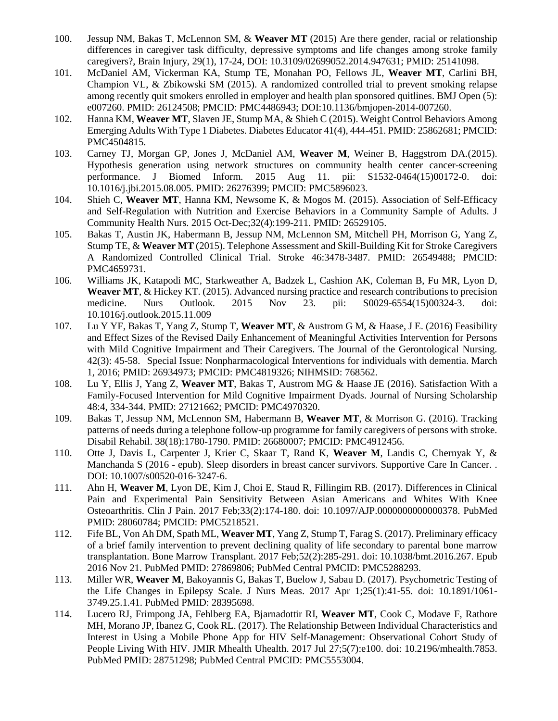- 100. Jessup NM, Bakas T, McLennon SM, & **Weaver MT** (2015) Are there gender, racial or relationship differences in caregiver task difficulty, depressive symptoms and life changes among stroke family caregivers?, Brain Injury, 29(1), 17-24, DOI: 10.3109/02699052.2014.947631; PMID: 25141098.
- 101. McDaniel AM, Vickerman KA, Stump TE, Monahan PO, Fellows JL, **Weaver MT**, Carlini BH, Champion VL, & Zbikowski SM (2015). A randomized controlled trial to prevent smoking relapse among recently quit smokers enrolled in employer and health plan sponsored quitlines. BMJ Open (5): e007260. PMID: 26124508; PMCID: PMC4486943; DOI:10.1136/bmjopen-2014-007260.
- 102. Hanna KM, **Weaver MT**, Slaven JE, Stump MA, & Shieh C (2015). Weight Control Behaviors Among Emerging Adults With Type 1 Diabetes. Diabetes Educator 41(4), 444-451. PMID: 25862681; PMCID: PMC4504815.
- 103. Carney TJ, Morgan GP, Jones J, McDaniel AM, **Weaver M**, Weiner B, Haggstrom DA.(2015). Hypothesis generation using network structures on community health center cancer-screening performance. J Biomed Inform. 2015 Aug 11. pii: S1532-0464(15)00172-0. doi: 10.1016/j.jbi.2015.08.005. PMID: 26276399; PMCID: PMC5896023.
- 104. Shieh C, **Weaver MT**, Hanna KM, Newsome K, & Mogos M. (2015). Association of Self-Efficacy and Self-Regulation with Nutrition and Exercise Behaviors in a Community Sample of Adults. J Community Health Nurs. 2015 Oct-Dec;32(4):199-211. PMID: 26529105.
- 105. Bakas T, Austin JK, Habermann B, Jessup NM, McLennon SM, Mitchell PH, Morrison G, Yang Z, Stump TE, & **Weaver MT** (2015). Telephone Assessment and Skill-Building Kit for Stroke Caregivers A Randomized Controlled Clinical Trial. Stroke 46:3478-3487. PMID: 26549488; PMCID: PMC4659731.
- 106. Williams JK, Katapodi MC, Starkweather A, Badzek L, Cashion AK, Coleman B, Fu MR, Lyon D, **Weaver MT**, & Hickey KT. (2015). Advanced nursing practice and research contributions to precision medicine. Nurs Outlook. 2015 Nov 23. pii: S0029-6554(15)00324-3. doi: 10.1016/j.outlook.2015.11.009
- 107. Lu Y YF, Bakas T, Yang Z, Stump T, **Weaver MT**, & Austrom G M, & Haase, J E. (2016) Feasibility and Effect Sizes of the Revised Daily Enhancement of Meaningful Activities Intervention for Persons with Mild Cognitive Impairment and Their Caregivers. The Journal of the Gerontological Nursing. 42(3): 45-58. Special Issue: Nonpharmacological Interventions for individuals with dementia. March 1, 2016; PMID: 26934973; PMCID: PMC4819326; NIHMSID: 768562.
- 108. Lu Y, Ellis J, Yang Z, **Weaver MT**, Bakas T, Austrom MG & Haase JE (2016). Satisfaction With a Family-Focused Intervention for Mild Cognitive Impairment Dyads. Journal of Nursing Scholarship 48:4, 334-344. PMID: 27121662; PMCID: PMC4970320.
- 109. Bakas T, Jessup NM, McLennon SM, Habermann B, **Weaver MT**, & Morrison G. (2016). Tracking patterns of needs during a telephone follow-up programme for family caregivers of persons with stroke. Disabil Rehabil. 38(18):1780-1790. PMID: 26680007; PMCID: PMC4912456.
- 110. Otte J, Davis L, Carpenter J, Krier C, Skaar T, Rand K, **Weaver M**, Landis C, Chernyak Y, & Manchanda S (2016 - epub). Sleep disorders in breast cancer survivors. Supportive Care In Cancer. . DOI: 10.1007/s00520-016-3247-6.
- 111. Ahn H, **Weaver M**, Lyon DE, Kim J, Choi E, Staud R, Fillingim RB. (2017). Differences in Clinical Pain and Experimental Pain Sensitivity Between Asian Americans and Whites With Knee Osteoarthritis. Clin J Pain. 2017 Feb;33(2):174-180. doi: 10.1097/AJP.0000000000000378. PubMed PMID: 28060784; PMCID: PMC5218521.
- 112. Fife BL, Von Ah DM, Spath ML, **Weaver MT**, Yang Z, Stump T, Farag S. (2017). Preliminary efficacy of a brief family intervention to prevent declining quality of life secondary to parental bone marrow transplantation. Bone Marrow Transplant. 2017 Feb;52(2):285-291. doi: 10.1038/bmt.2016.267. Epub 2016 Nov 21. PubMed PMID: 27869806; PubMed Central PMCID: PMC5288293.
- 113. Miller WR, **Weaver M**, Bakoyannis G, Bakas T, Buelow J, Sabau D. (2017). Psychometric Testing of the Life Changes in Epilepsy Scale. J Nurs Meas. 2017 Apr 1;25(1):41-55. doi: 10.1891/1061- 3749.25.1.41. PubMed PMID: 28395698.
- 114. Lucero RJ, Frimpong JA, Fehlberg EA, Bjarnadottir RI, **Weaver MT**, Cook C, Modave F, Rathore MH, Morano JP, Ibanez G, Cook RL. (2017). The Relationship Between Individual Characteristics and Interest in Using a Mobile Phone App for HIV Self-Management: Observational Cohort Study of People Living With HIV. JMIR Mhealth Uhealth. 2017 Jul 27;5(7):e100. doi: 10.2196/mhealth.7853. PubMed PMID: 28751298; PubMed Central PMCID: PMC5553004.